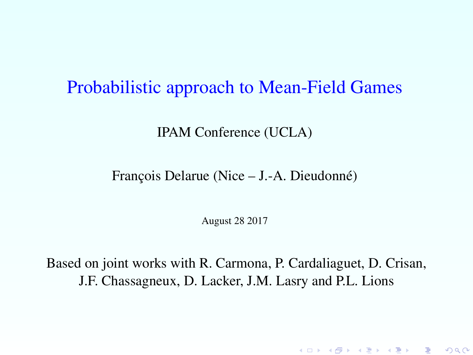#### Probabilistic approach to Mean-Field Games

IPAM Conference (UCLA)

François Delarue (Nice – J.-A. Dieudonné)

August 28 2017

<span id="page-0-0"></span>Based on joint works with R. Carmona, P. Cardaliaguet, D. Crisan, J.F. Chassagneux, D. Lacker, J.M. Lasry and P.L. Lions

K ロ ▶ K @ ▶ K 할 ▶ K 할 ▶ ① 할 → ① 익단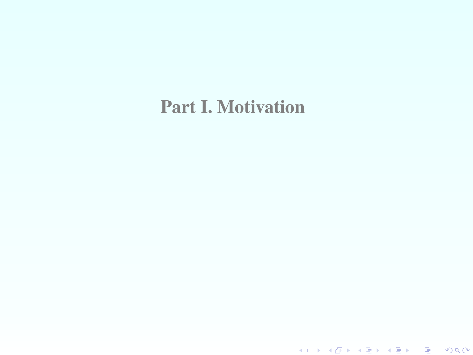## Part I. Motivation

K ロ ▶ K 레 ▶ K 코 ▶ K 코 ▶ 『코 │ ◆ 9 Q Q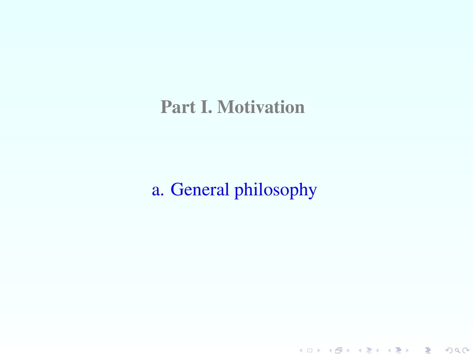# Part I. Motivation

# a. General philosophy

K ロ ▶ K 레 ▶ K 코 ▶ K 코 ▶ 『코 │ ◆ 9 Q Q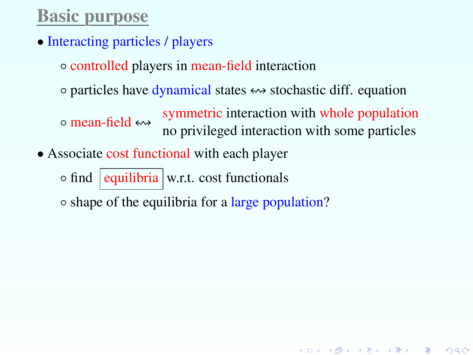# Basic purpose

• Interacting particles / players

◦ controlled players in mean-field interaction

 $\circ$  particles have dynamical states  $\leftrightarrow$  stochastic diff. equation

◦ mean-field ! symmetric interaction with whole population no privileged interaction with some particles

• Associate cost functional with each player

 $\circ$  find equilibria w.r.t. cost functionals

◦ shape of the equilibria for a large population?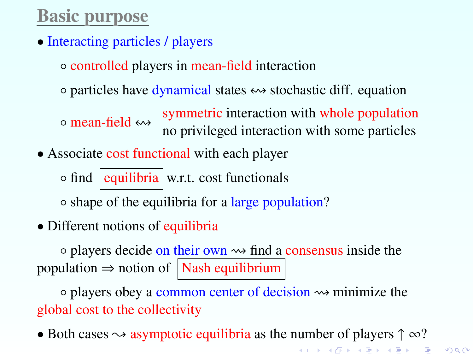# Basic purpose

• Interacting particles / players

◦ controlled players in mean-field interaction

 $\circ$  particles have dynamical states  $\leftrightarrow$  stochastic diff. equation

◦ mean-field ! symmetric interaction with whole population no privileged interaction with some particles

• Associate cost functional with each player

 $\circ$  find equilibria w.r.t. cost functionals

◦ shape of the equilibria for a large population?

• Different notions of equilibria

 $\circ$  players decide on their own  $\rightsquigarrow$  find a consensus inside the population  $\Rightarrow$  notion of Nash equilibrium

◦ players obey a common center of decision minimize the global cost to the collectivity

• Both cases  $\sim$  asymptotic equilibria as the number of players  $\uparrow \infty$ ?

K ロ K K @ K K R K X R K T R R

 $2Q$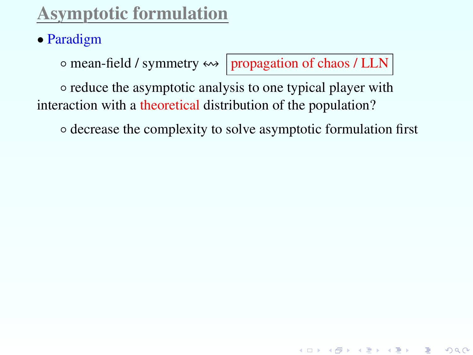# Asymptotic formulation

## • Paradigm

◦ mean-field / symmetry ! propagation of chaos / LLN

K ロ ▶ K @ ▶ K 할 ▶ K 할 ▶ → 할 → 9 Q @

◦ reduce the asymptotic analysis to one typical player with interaction with a theoretical distribution of the population?

◦ decrease the complexity to solve asymptotic formulation first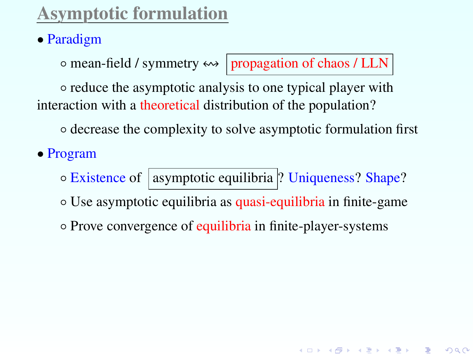# Asymptotic formulation

## • Paradigm

 $\circ$  mean-field / symmetry  $\leftrightarrow$  propagation of chaos / LLN

◆ロメ → 御メ → 君メ → 君メ → 君 →

 $299$ 

◦ reduce the asymptotic analysis to one typical player with interaction with a theoretical distribution of the population?

◦ decrease the complexity to solve asymptotic formulation first

• Program

o Existence of | asymptotic equilibria ? Uniqueness? Shape?

◦ Use asymptotic equilibria as quasi-equilibria in finite-game

◦ Prove convergence of equilibria in finite-player-systems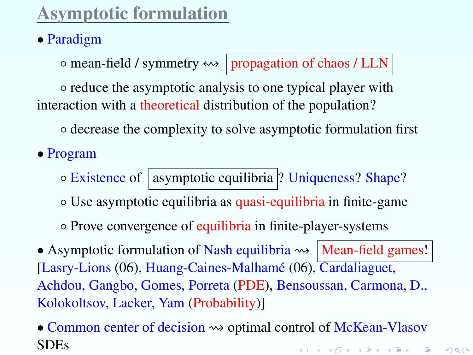# Asymptotic formulation

## • Paradigm

 $\circ$  mean-field / symmetry  $\leftrightarrow$  propagation of chaos / LLN

◦ reduce the asymptotic analysis to one typical player with interaction with a theoretical distribution of the population?

◦ decrease the complexity to solve asymptotic formulation first

• Program

◦ Existence of asymptotic equilibria ? Uniqueness? Shape?

◦ Use asymptotic equilibria as quasi-equilibria in finite-game

◦ Prove convergence of equilibria in finite-player-systems

• Asymptotic formulation of Nash equilibria  $\rightsquigarrow$  | Mean-field games! | [Lasry-Lions (06), Huang-Caines-Malhamé (06), Cardaliaguet, Achdou, Gangbo, Gomes, Porreta (PDE), Bensoussan, Carmona, D., Kolokoltsov, Lacker, Yam (Probability)]

<sup>•</sup> Common center of decision  $\rightsquigarrow$  optimal control of McKean-Vlasov SDEsK ロ ▶ K @ ▶ K 할 ▶ K 할 ▶ → 할 → 9 Q @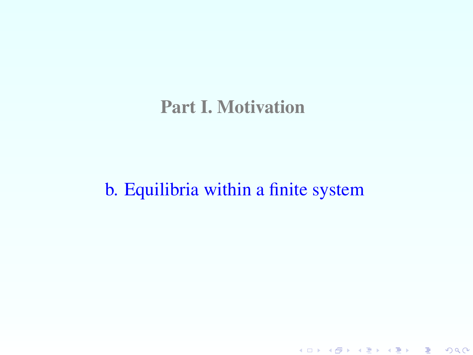# Part I. Motivation

# b. Equilibria within a finite system

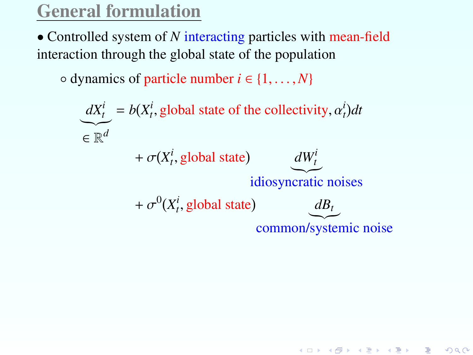# General formulation

• Controlled system of *N* interacting particles with mean-field interaction through the global state of the population

 $\circ$  dynamics of particle number  $i \in \{1, \ldots, N\}$ 

$$
\underbrace{dX_t^i}_{\in \mathbb{R}^d} = b(X_t^i, \text{global state of the collectiveity}, \alpha_t^i)dt
$$
\n
$$
+ \sigma(X_t^i, \text{global state})
$$
\n
$$
+ \sigma^0(X_t^i, \text{global state})
$$
\n
$$
+ \sigma^0(X_t^i, \text{global state})
$$
\n
$$
\underbrace{dX_t^i}_{\text{common/systemic noise}}
$$

K ロ K K @ K K 할 K K 할 K ( 할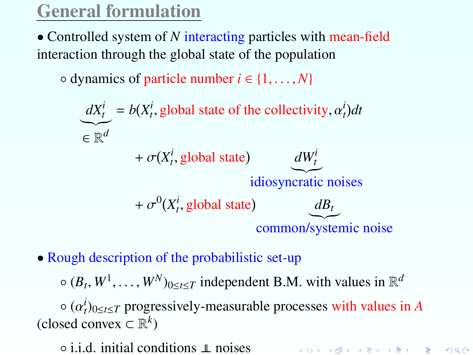# General formulation

• Controlled system of N interacting particles with mean-field interaction through the global state of the population

 $\circ$  dynamics of particle number  $i \in \{1, \ldots, N\}$ 

$$
\underbrace{dX_t^i}_{\in \mathbb{R}^d} = b(X_t^i, \text{global state of the collectiveity}, \alpha_t^i) dt
$$
\n
$$
+ \sigma(X_t^i, \text{global state})
$$
\n
$$
+ \sigma^0(X_t^i, \text{global state})
$$
\n
$$
+ \sigma^0(X_t^i, \text{global state})
$$
\n
$$
\underbrace{dX_t^i}_{\text{common/systemic noise}}
$$

• Rough description of the probabilistic set-up

 $\circ$   $(B_t, W^1, \ldots, W^N)_{0 \le t \le T}$  independent B.M. with values in  $\mathbb{R}^d$ 

 $\circ$  ( $\alpha_t^i$ )<sub>0≤*t*≤*T*</sub> progressively-measurable processes with values in *A* sed convex  $\subset \mathbb{R}^k$ ) (closed convex ⊂ R *k* )

K ロ ▶ K @ ▶ K 할 ▶ K 할 ▶ → 할 → 9 Q @

◦ i.i.d. initial conditions ⊥⊥ noises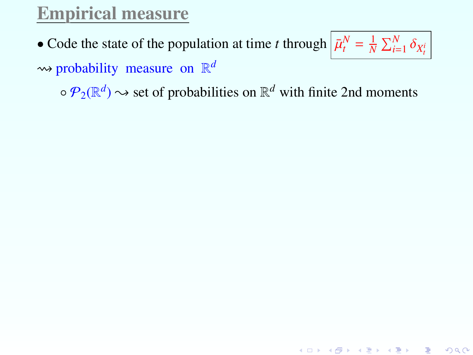# Empirical measure

• Code the state of the population at time *t* through  $\frac{\bar{\mu}_t^N}{N} = \frac{1}{N} \sum_{i=1}^N \delta_{X_t^i}$ probability measure on R *d*

 $\circ \mathcal{P}_2(\mathbb{R}^d) \rightsquigarrow$  set of probabilities on  $\mathbb{R}^d$  with finite 2nd moments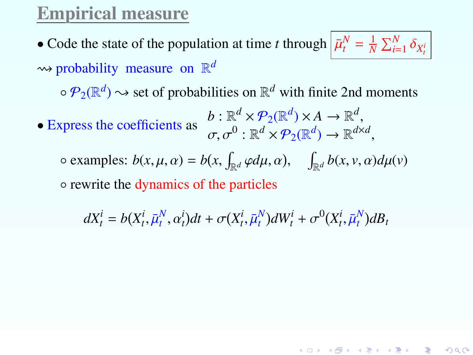## Empirical measure

• Code the state of the population at time *t* through  $\frac{\bar{\mu}_t^N}{N} = \frac{1}{N} \sum_{i=1}^N \delta_{X_t^i}$ probability measure on R *d*

 $\circ \mathcal{P}_2(\mathbb{R}^d) \rightsquigarrow$  set of probabilities on  $\mathbb{R}^d$  with finite 2nd moments

• Express the coefficients as  $b : \mathbb{R}^d \times \mathcal{P}_2(\mathbb{R}^d) \times A \to \mathbb{R}$  $d \cup \times A \longrightarrow \mathbb{R}^d$  $\sigma, \sigma^0 : \mathbb{R}^d \times \mathcal{P}_2(\mathbb{R}^d) \to \mathbb{R}^{d \times d}$ 

 $\circ$  examples:  $b(x, \mu, \alpha) = b(x, \int_{\mathbb{R}^d} \varphi d\mu, \alpha),$  $\int_{\mathbb{R}^d} b(x, v, \alpha) d\mu(v)$ 

◦ rewrite the dynamics of the particles

 $dX_t^i = b(X_t^i, \bar{\mu}_t^N, \alpha_t^i)dt + \sigma(X_t^i, \bar{\mu}_t^N)dW_t^i + \sigma^0(X_t^i, \bar{\mu}_t^N)dB_t$ 

K ロ ▶ K @ ▶ K 할 ▶ K 할 ▶ ① 할 → ① 익단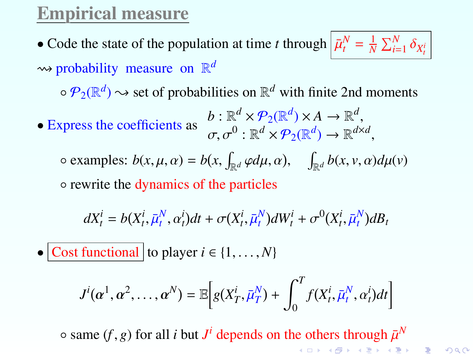# Empirical measure

• Code the state of the population at time *t* through  $\frac{\bar{\mu}_t^N}{N} = \frac{1}{N} \sum_{i=1}^N \delta_{X_t^i}$ probability measure on R *d*

 $\circ \mathcal{P}_2(\mathbb{R}^d) \rightsquigarrow$  set of probabilities on  $\mathbb{R}^d$  with finite 2nd moments

• Express the coefficients as  $b : \mathbb{R}^d \times \mathcal{P}_2(\mathbb{R}^d) \times A \to \mathbb{R}$  $d \cup \times A \longrightarrow \mathbb{R}^d$  $\sigma, \sigma^0 : \mathbb{R}^d \times \mathcal{P}_2(\mathbb{R}^d) \to \mathbb{R}^{d \times d}$ 

 $\circ$  examples:  $b(x, \mu, \alpha) = b(x, \int_{\mathbb{R}^d} \varphi d\mu, \alpha),$  $\int_{\mathbb{R}^d} b(x, v, \alpha) d\mu(v)$ 

◦ rewrite the dynamics of the particles

 $dX_t^i = b(X_t^i, \bar{\mu}_t^N, \alpha_t^i)dt + \sigma(X_t^i, \bar{\mu}_t^N)dW_t^i + \sigma^0(X_t^i, \bar{\mu}_t^N)dB_t$ 

• Cost functional to player  $i \in \{1, \ldots, N\}$ 

$$
J^{i}(\alpha^1, \alpha^2, \ldots, \alpha^N) = \mathbb{E}\bigg[g(X_T^i, \bar{\mu}_T^N) + \int_0^T f(X_t^i, \bar{\mu}_t^N, \alpha_t^i)dt\bigg]
$$

 $\circ$  same (*f*, *g*) for all *i* but *J*<sup>*i*</sup> depends on the others through  $\bar{\mu}^N$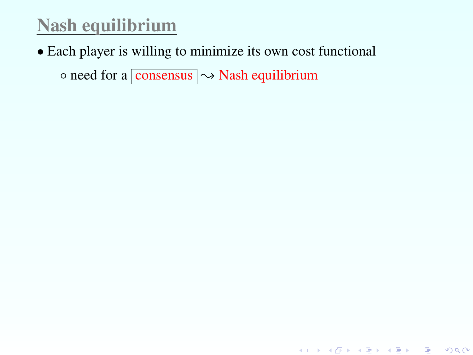# Nash equilibrium

• Each player is willing to minimize its own cost functional

 $\circ$  need for a consensus  $\sim$  Nash equilibrium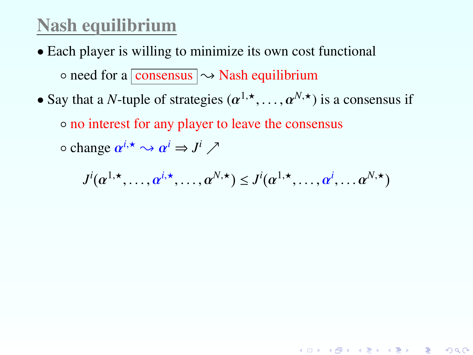## Nash equilibrium

- Each player is willing to minimize its own cost functional  $\circ$  need for a consensus  $\sim$  Nash equilibrium
- Say that a *N*-tuple of strategies  $(\alpha^{1,\star}, \ldots, \alpha^{N,\star})$  is a consensus if

◦ no interest for any player to leave the consensus

 $\circ$  change  $\alpha^{i,*} \leadsto \alpha^i \Rightarrow J^i \nearrow$ 

$$
J^i(\alpha^{1,\star},\ldots,\alpha^{i,\star},\ldots,\alpha^{N,\star}) \leq J^i(\alpha^{1,\star},\ldots,\alpha^i,\ldots\alpha^{N,\star})
$$

K ロ ▶ K @ ▶ K 할 ▶ K 할 ▶ → 할 → 9 Q @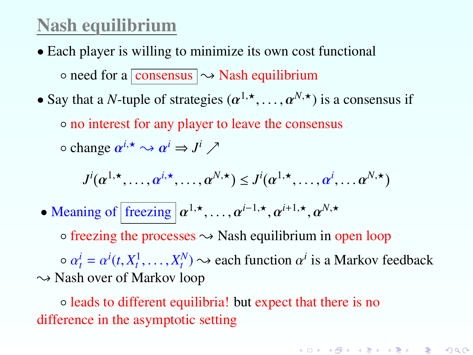#### Nash equilibrium

- Each player is willing to minimize its own cost functional  $\circ$  need for a consensus  $\sim$  Nash equilibrium
- Say that a *N*-tuple of strategies  $(\alpha^{1,\star}, \ldots, \alpha^{N,\star})$  is a consensus if

◦ no interest for any player to leave the consensus

 $\circ$  change  $\alpha^{i,*} \leadsto \alpha^i \Rightarrow J^i \nearrow$ 

$$
J^{i}(\alpha^{1,\star},\ldots,\alpha^{i,\star},\ldots,\alpha^{N,\star}) \leq J^{i}(\alpha^{1,\star},\ldots,\alpha^{i},\ldots\alpha^{N,\star})
$$

• Meaning of  $\left[\text{freezing} \mid \alpha^{1,\star}, \ldots, \alpha^{i-1,\star}, \alpha^{i+1,\star}, \alpha^{N,\star}\right]$ 

 $\circ$  freezing the processes  $\rightsquigarrow$  Nash equilibrium in open loop  $\alpha \, a_t^i = \alpha^i(t, X_t^1, \dots, X_t^N) \rightarrow$  each function  $\alpha^i$  is a Markov feedback<br>Jash over of Markov loop  $\sim$  Nash over of Markov loop

◦ leads to different equilibria! but expect that there is no difference in the asymptotic setting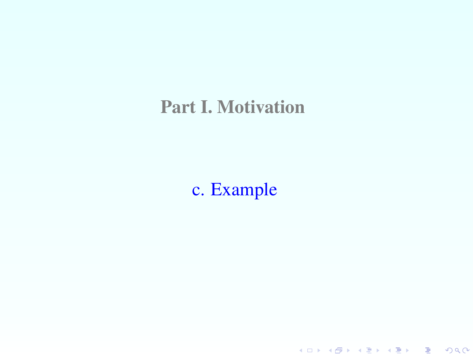## Part I. Motivation

# <span id="page-17-0"></span>c. Example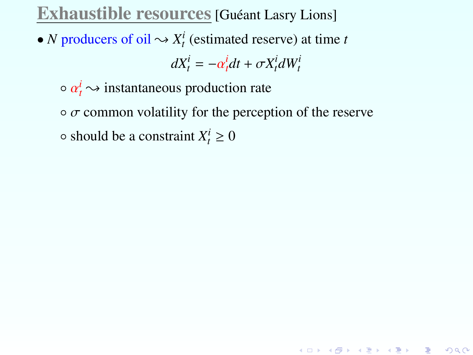#### Exhaustible resources [Guéant Lasry Lions]

• *N* producers of oil  $\sim X_t^i$  (estimated reserve) at time *t* 

$$
dX_t^i = -\alpha_t^i dt + \sigma X_t^i dW_t^i
$$

 $\circ \alpha_t^i \rightsquigarrow$  instantaneous production rate

 $\circ$   $\sigma$  common volatility for the perception of the reserve

<span id="page-18-0"></span> $\circ$  should be a constraint  $X_t^i \geq 0$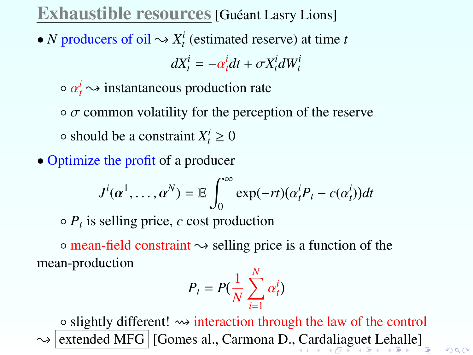#### Exhaustible resources [Guéant Lasry Lions]

• *N* producers of oil  $\sim X_t^i$  (estimated reserve) at time *t* 

$$
dX_t^i = -\alpha_t^i dt + \sigma X_t^i dW_t^i
$$

 $\circ \alpha_t^i \rightsquigarrow$  instantaneous production rate

 $\circ$   $\sigma$  common volatility for the perception of the reserve  $\circ$  should be a constraint  $X_t^i \geq 0$ 

• Optimize the profit of a producer

$$
J^{i}(\alpha^{1},\ldots,\alpha^{N})=\mathbb{E}\int_{0}^{\infty}\exp(-rt)(\alpha_{t}^{i}P_{t}-c(\alpha_{t}^{i}))dt
$$

◦ *P<sup>t</sup>* is selling price, *c* cost production

 $\circ$  mean-field constraint  $\rightsquigarrow$  selling price is a function of the mean-production

$$
P_t = P(\frac{1}{N} \sum_{i=1}^{N} \alpha_t^i)
$$

<span id="page-19-0"></span>◦ slightly different! interaction through the law of the control extended MFG | [Gomes al., [C](#page-18-0)armona D., C[ard](#page-20-0)[a](#page-19-0)[li](#page-18-0)a[g](#page-20-0)[ue](#page-0-0)[t L](#page-127-0)[eh](#page-0-0)[all](#page-127-0)[e\]](#page-0-0)

 $2Q$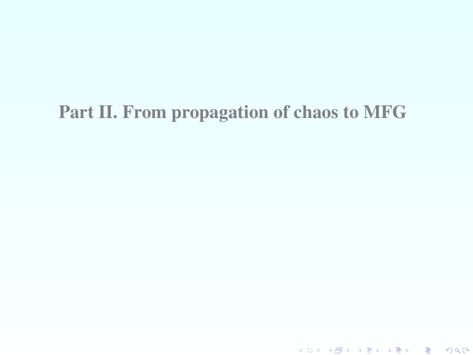# <span id="page-20-0"></span>Part II. From propagation of chaos to MFG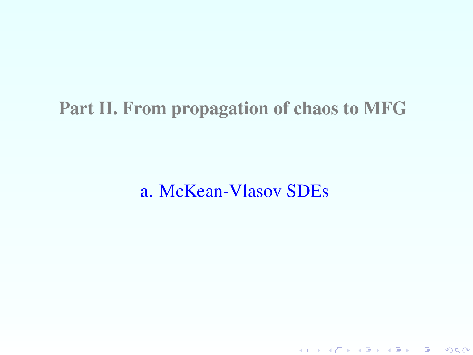# Part II. From propagation of chaos to MFG

a. McKean-Vlasov SDEs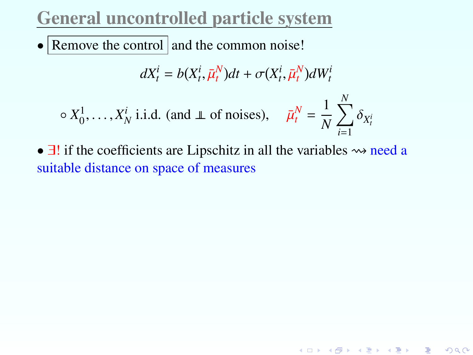## General uncontrolled particle system

• Remove the control and the common noise!

$$
dX_t^i = b(X_t^i, \bar{\mu}_t^N)dt + \sigma(X_t^i, \bar{\mu}_t^N)dW_t^i
$$

$$
\circ X_0^1, \dots, X_N^i
$$
 i.i.d. (and  $\perp \text{ of noises}$ ),  $\bar{\mu}_t^N = \frac{1}{N} \sum_{i=1}^N \delta_{X_t^i}$ 

•  $\exists !$  if the coefficients are Lipschitz in all the variables  $\rightsquigarrow$  need a suitable distance on space of measures

K ロ ▶ K @ ▶ K 할 ▶ K 할 ▶ ① 할 → ① 익C\*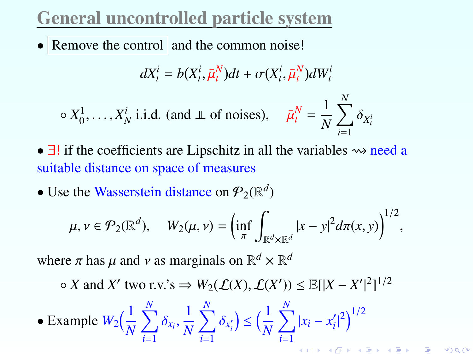# General uncontrolled particle system

• Remove the control and the common noise!

$$
dX_t^i = b(X_t^i, \bar{\mu}_t^N)dt + \sigma(X_t^i, \bar{\mu}_t^N)dW_t^i
$$

$$
\circ X_0^1, \dots, X_N^i
$$
 i.i.d. (and  $\perp \text{ of noises}$ ),  $\bar{\mu}_t^N = \frac{1}{N} \sum_{i=1}^N \delta_{X_t^i}$ 

- $\exists!$  if the coefficients are Lipschitz in all the variables  $\rightsquigarrow$  need a suitable distance on space of measures
- Use the Wasserstein distance on  $\mathcal{P}_2(\mathbb{R}^d)$

$$
\mu, \nu \in \mathcal{P}_2(\mathbb{R}^d), \quad W_2(\mu, \nu) = \left(\inf_{\pi} \int_{\mathbb{R}^d \times \mathbb{R}^d} |x - y|^2 d\pi(x, y)\right)^{1/2},
$$

where  $\pi$  has  $\mu$  and  $\nu$  as marginals on  $\mathbb{R}^d \times \mathbb{R}^d$ 

○ *X* and *X'* two r.v.'s  $\Rightarrow$   $W_2(\mathcal{L}(X), \mathcal{L}(X')) \le \mathbb{E}[[X - X']^2]^{1/2}$ 

 $2Q$ 

• Example 
$$
W_2\left(\frac{1}{N}\sum_{i=1}^N \delta_{x_i}, \frac{1}{N}\sum_{i=1}^N \delta_{x'_i}\right) \le \left(\frac{1}{N}\sum_{i=1}^N |x_i - x'_i|^2\right)^{1/2}
$$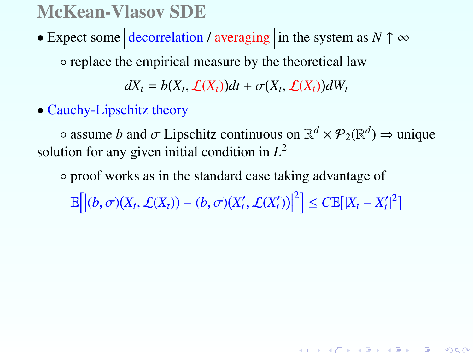#### McKean-Vlasov SDE

• Expect some  $\vert$  decorrelation / averaging in the system as  $N \uparrow \infty$ 

◦ replace the empirical measure by the theoretical law

 $dX_t = b(X_t, \mathcal{L}(X_t))dt + \sigma(X_t, \mathcal{L}(X_t))dW_t$ 

• Cauchy-Lipschitz theory

 $\circ$  assume *b* and  $\sigma$  Lipschitz continuous on  $\mathbb{R}^d \times \mathcal{P}_2(\mathbb{R}^d) \Rightarrow$  unique tion for any given initial condition in  $I^2$ solution for any given initial condition in *L* 2

◦ proof works as in the standard case taking advantage of

 $\mathbb{E}\Big[\Big|(b,\sigma)(X_t,\mathcal{L}(X_t))-(b,\sigma)(X'_t,\mathcal{L}(X'_t))\Big|$  $\left| \sum_{t=1}^{2} \right| \leq C \mathbb{E} [ |X_t - X'_t|^2 ]$ 

K ロ ▶ K @ ▶ K 할 ▶ K 할 ▶ → 할 → 9 Q @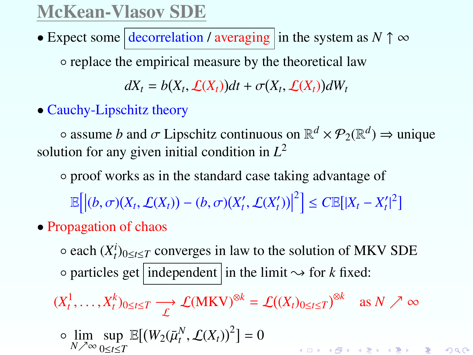## McKean-Vlasov SDE

• Expect some  $\vert$  decorrelation / averaging in the system as  $N \uparrow \infty$ 

◦ replace the empirical measure by the theoretical law

 $dX_t = b(X_t, \mathcal{L}(X_t))dt + \sigma(X_t, \mathcal{L}(X_t))dW_t$ 

• Cauchy-Lipschitz theory

 $\circ$  assume *b* and  $\sigma$  Lipschitz continuous on  $\mathbb{R}^d \times \mathcal{P}_2(\mathbb{R}^d) \Rightarrow$  unique tion for any given initial condition in  $I^2$ solution for any given initial condition in *L* 2

◦ proof works as in the standard case taking advantage of

 $\mathbb{E}\Big[\Big|(b,\sigma)(X_t,\mathcal{L}(X_t))-(b,\sigma)(X'_t,\mathcal{L}(X'_t))\Big|$  $\left| \sum_{t=1}^{2} \right| \leq C \mathbb{E} [ |X_t - X'_t|^2 ]$ 

• Propagation of chaos

 $\circ$  each  $(X_t^i)_{0 \le t \le T}$  converges in law to the solution of MKV SDE  $\circ$  particles get independent in the limit  $\rightsquigarrow$  for *k* fixed:

 $(X_t^1, \ldots, X_t^k)_{0 \le t \le T} \longrightarrow \mathcal{L}(\mathbf{MKV})^{\otimes k} = \mathcal{L}((X_t)_{0 \le t \le T})^{\otimes k}$  as  $N \nearrow \infty$ 

$$
\circ \lim_{N \nearrow \infty} \sup_{0 \le t \le T} \mathbb{E}[(W_2(\bar{\mu}_t^N, \mathcal{L}(X_t))^2] = 0
$$

言 つくび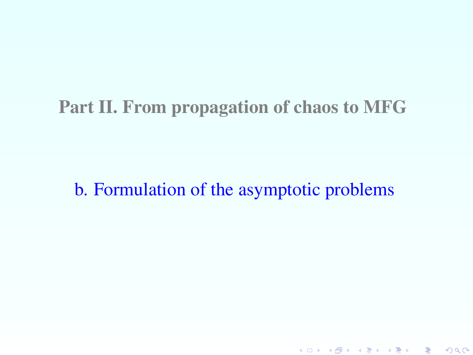### Part II. From propagation of chaos to MFG

## b. Formulation of the asymptotic problems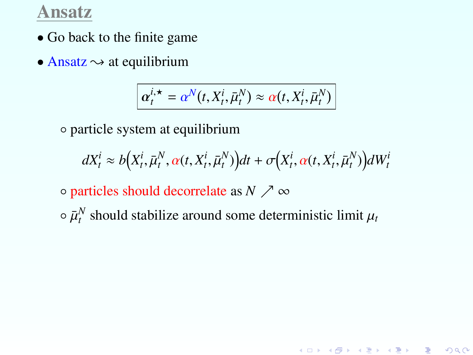#### Ansatz

- Go back to the finite game
- Ansatz  $\rightsquigarrow$  at equilibrium

$$
\alpha_t^{i, \star} = \alpha^N(t, X_t^i, \bar{\mu}_t^N) \approx \alpha(t, X_t^i, \bar{\mu}_t^N)
$$

◦ particle system at equilibrium

$$
dX_t^i \approx b(X_t^i, \bar{\mu}_t^N, \alpha(t, X_t^i, \bar{\mu}_t^N))dt + \sigma(X_t^i, \alpha(t, X_t^i, \bar{\mu}_t^N))dW_t^i
$$

K ロ ▶ K @ ▶ K 할 ▶ K 할 ▶ 이 할 → 900

- $\circ$  particles should decorrelate as *N*  $\nearrow \infty$
- $\circ$   $\bar{\mu}_t^N$  should stabilize around some deterministic limit  $\mu_t$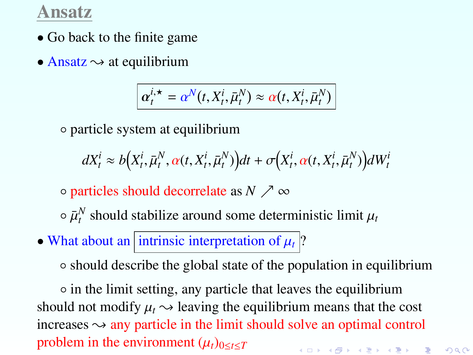#### Ansatz

- Go back to the finite game
- Ansatz  $\rightsquigarrow$  at equilibrium

$$
\alpha_t^{i, \star} = \alpha^N(t, X_t^i, \bar{\mu}_t^N) \approx \alpha(t, X_t^i, \bar{\mu}_t^N)
$$

◦ particle system at equilibrium

 $dX_t^i \approx b(X_t^i, \bar{\mu}_t^N, \alpha(t, X_t^i, \bar{\mu}_t^N))dt + \sigma(X_t^i, \alpha(t, X_t^i, \bar{\mu}_t^N))dW_t^i$ 

 $\circ$  particles should decorrelate as *N*  $\nearrow \infty$ 

 $\circ$   $\bar{\mu}_t^N$  should stabilize around some deterministic limit  $\mu_t$ 

• What about an intrinsic interpretation of  $\mu_t$  ?

◦ should describe the global state of the population in equilibrium

◦ in the limit setting, any particle that leaves the equilibrium should not modify  $\mu_t \rightarrow$  leaving the equilibrium means that the cost increases  $\sim$  any particle in the limit should solve an optimal control problem in the environment  $(\mu_t)_{0 \le t \le T}$ K ロ ▶ K @ ▶ K 할 ▶ K 할 ▶ → 할 → 9 Q @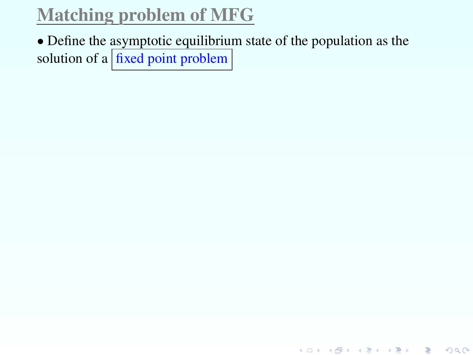• Define the asymptotic equilibrium state of the population as the solution of a  $\frac{f_{\text{fixed}}}{f_{\text{total}}}$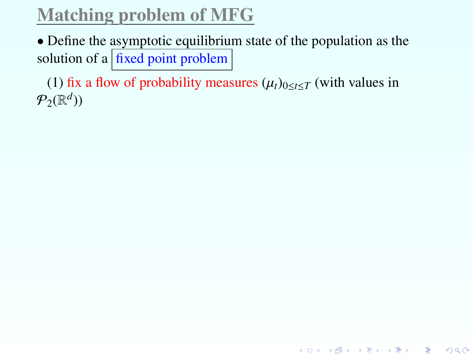• Define the asymptotic equilibrium state of the population as the solution of a  $\frac{1}{x}$  fixed point problem

(1) fix a flow of probability measures  $(\mu_t)_{0 \le t \le T}$  (with values in  $\mathcal{P}_2(\mathbb{R}^d)$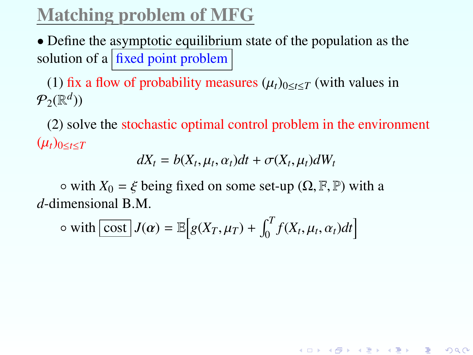• Define the asymptotic equilibrium state of the population as the solution of a  $\frac{1}{x}$  fixed point problem

(1) fix a flow of probability measures  $(\mu_t)_{0 \le t \le T}$  (with values in  $\mathcal{P}_2(\mathbb{R}^d)$ 

(2) solve the stochastic optimal control problem in the environment  $(\mu_t)_{0 \le t \le T}$ 

$$
dX_t = b(X_t, \mu_t, \alpha_t)dt + \sigma(X_t, \mu_t)dW_t
$$

K ロ ▶ K @ ▶ K 할 ▶ K 할 ▶ ① 할 → ① 익C\*

 $\circ$  with  $X_0 = \xi$  being fixed on some set-up ( $\Omega, \mathbb{F}, \mathbb{P}$ ) with a *d*-dimensional B.M.

$$
\circ \text{ with } \boxed{\text{cost}} \, J(\alpha) = \mathbb{E} \Big[ g(X_T, \mu_T) + \int_0^T f(X_t, \mu_t, \alpha_t) dt \Big]
$$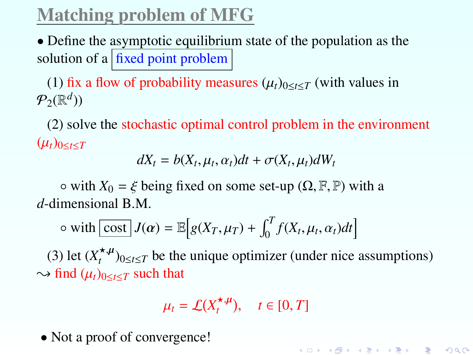• Define the asymptotic equilibrium state of the population as the solution of a  $\vert$  fixed point problem

(1) fix a flow of probability measures  $(\mu_t)_{0 \le t \le T}$  (with values in  $\mathcal{P}_2(\mathbb{R}^d)$ 

(2) solve the stochastic optimal control problem in the environment  $(\mu_t)_{0 \le t \le T}$ 

$$
dX_t = b(X_t, \mu_t, \alpha_t)dt + \sigma(X_t, \mu_t)dW_t
$$

 $\circ$  with  $X_0 = \xi$  being fixed on some set-up ( $\Omega, \mathbb{F}, \mathbb{P}$ ) with a *d*-dimensional B.M.

$$
\circ \text{ with } \boxed{\text{cost}} \, J(\alpha) = \mathbb{E} \Big[ g(X_T, \mu_T) + \int_0^T f(X_t, \mu_t, \alpha_t) dt \Big]
$$

(3) let  $(X_t^{\star,\mu})_{0\leq t\leq T}$  be the unique optimizer (under nice assumptions)  $\rightarrow$  find  $(\mu_t)_{0 \le t \le T}$  such that

$$
\mu_t = \mathcal{L}(X_t^{\star,\mu}), \quad t \in [0,T]
$$

K ロ ▶ K @ ▶ K 할 ▶ K 할 ▶ → 할 → 9 Q @

• Not a proof of convergence!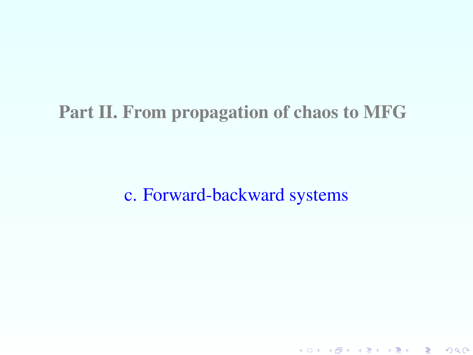## Part II. From propagation of chaos to MFG

c. Forward-backward systems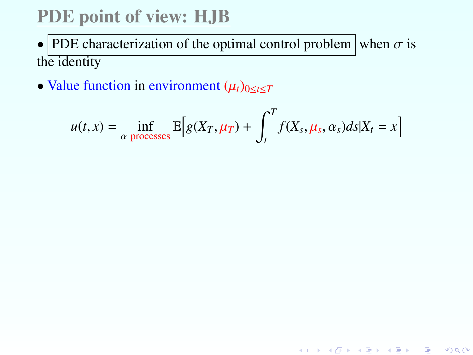# PDE point of view: HJB

- PDE characterization of the optimal control problem when  $\sigma$  is the identity
- Value function in environment  $(\mu_t)_{0 \le t \le T}$

$$
u(t,x) = \inf_{\alpha \text{ processes}} \mathbb{E}\Big[g(X_T,\mu_T) + \int_t^T f(X_s,\mu_s,\alpha_s)ds \big| X_t = x\Big]
$$

メロト メ御 トメ 君 トメ 君 トッ 君 …

 $2Q$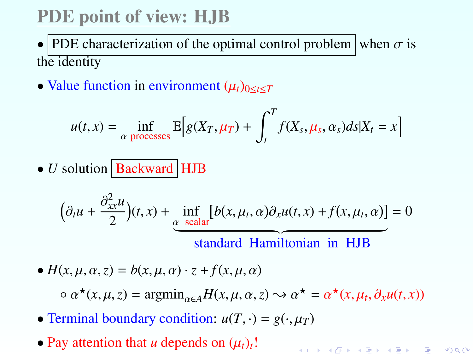# PDE point of view: HJB

• PDE characterization of the optimal control problem when  $\sigma$  is the identity

• Value function in environment  $(\mu_t)_{0 \le t \le T}$ 

$$
u(t,x) = \inf_{\alpha \text{ processes}} \mathbb{E}\Big[g(X_T,\mu_T) + \int_t^T f(X_s,\mu_s,\alpha_s)ds|X_t = x\Big]
$$

 $\bullet$  *U* solution **Backward** HJB

$$
\left(\partial_t u + \frac{\partial_{xx}^2 u}{2}\right)(t, x) + \underbrace{\inf_{\alpha \text{ scalar}} [b(x, \mu_t, \alpha)\partial_x u(t, x) + f(x, \mu_t, \alpha)]}_{\text{standard Hamiltonian in HJB}} = 0
$$

•  $H(x, \mu, \alpha, z) = b(x, \mu, \alpha) \cdot z + f(x, \mu, \alpha)$ 

 $\alpha \star (x, \mu, z) = \operatorname{argmin}_{\alpha \in A} H(x, \mu, \alpha, z) \rightsquigarrow \alpha^* = \alpha^* (x, \mu_t, \partial_x u(t, x))$ 

K ロ ▶ K @ ▶ K 할 ▶ K 할 ▶ → 할 → 9 Q @

- Terminal boundary condition:  $u(T, \cdot) = g(\cdot, \mu_T)$
- Pay attention that *u* depends on  $(\mu_t)_t$ !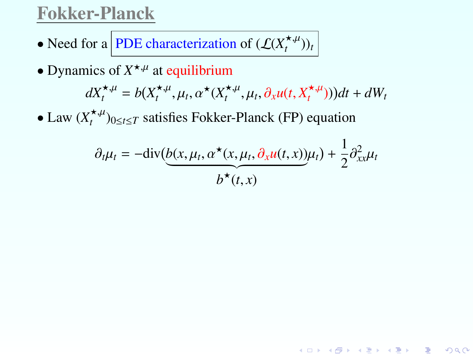#### Fokker-Planck

- Need for a **PDE** characterization of  $(\mathcal{L}(X_t^{*,\mu}))_t$
- Dynamics of  $X^{\star,\mu}$  at equilibrium

$$
dX_t^{\star,\mu} = b(X_t^{\star,\mu}, \mu_t, \alpha^{\star}(X_t^{\star,\mu}, \mu_t, \partial_x u(t, X_t^{\star,\mu})))dt + dW_t
$$

• Law  $(X_t^{\star,\mu})_{0\leq t\leq T}$  satisfies Fokker-Planck (FP) equation

$$
\partial_t \mu_t = -\text{div}\left(\underbrace{b(x, \mu_t, \alpha^\star(x, \mu_t, \partial_x u(t, x))\mu_t}_{b^\star(t, x)}\right) + \frac{1}{2}\partial_{xx}^2 \mu_t
$$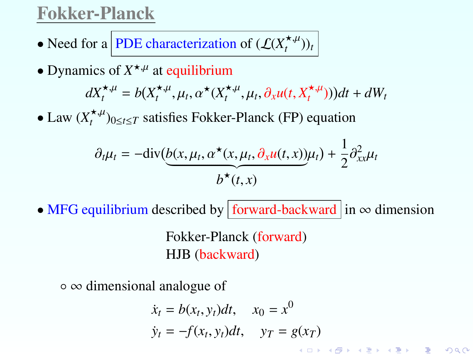#### Fokker-Planck

- Need for a **PDE** characterization of  $(\mathcal{L}(X_t^{*,\mu}))_t$
- Dynamics of  $X^{\star,\mu}$  at equilibrium

$$
dX_t^{\star,\mu} = b(X_t^{\star,\mu}, \mu_t, \alpha^{\star}(X_t^{\star,\mu}, \mu_t, \partial_x u(t, X_t^{\star,\mu})))dt + dW_t
$$

• Law  $(X_t^{\star,\mu})_{0\leq t\leq T}$  satisfies Fokker-Planck (FP) equation

$$
\partial_t \mu_t = -\text{div}\left(\underbrace{b(x, \mu_t, \alpha^\star(x, \mu_t, \partial_x u(t, x))\mu_t}_{b^\star(t, x)}\right) + \frac{1}{2}\partial_{xx}^2 \mu_t
$$

• MFG equilibrium described by forward-backward in  $\infty$  dimension

Fokker-Planck (forward) HJB (backward)

◦ ∞ dimensional analogue of

$$
\dot{x}_t = b(x_t, y_t)dt, \quad x_0 = x^0
$$
\n
$$
\dot{y}_t = -f(x_t, y_t)dt, \quad y_T = g(x_T)
$$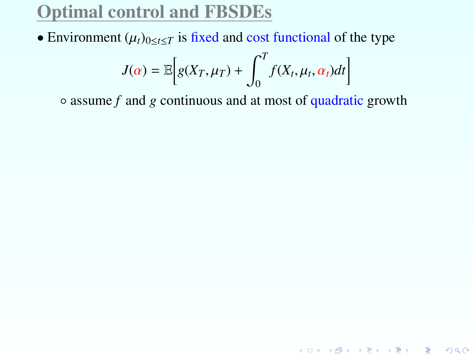• Environment  $(\mu_t)_{0 \le t \le T}$  is fixed and cost functional of the type

$$
J(\alpha) = \mathbb{E}\bigg[g(X_T,\mu_T) + \int_0^T f(X_t,\mu_t,\alpha_t)dt\bigg]
$$

◦ assume *f* and *g* continuous and at most of quadratic growth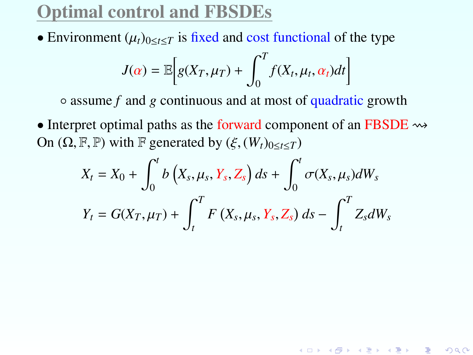• Environment  $(\mu_t)_{0 \le t \le T}$  is fixed and cost functional of the type

$$
J(\alpha) = \mathbb{E}\bigg[g(X_T,\mu_T) + \int_0^T f(X_t,\mu_t,\alpha_t)dt\bigg]
$$

◦ assume *f* and *g* continuous and at most of quadratic growth

• Interpret optimal paths as the forward component of an FBSDE  $\rightsquigarrow$ On  $(\Omega, \mathbb{F}, \mathbb{P})$  with  $\mathbb{F}$  generated by  $(\xi, (W_t)_{0 \le t \le T})$ 

$$
X_t = X_0 + \int_0^t b\left(X_s, \mu_s, Y_s, Z_s\right) ds + \int_0^t \sigma(X_s, \mu_s) dW_s
$$
  

$$
Y_t = G(X_T, \mu_T) + \int_t^T F\left(X_s, \mu_s, Y_s, Z_s\right) ds - \int_t^T Z_s dW_s
$$

K ロ ▶ K @ ▶ K 할 ▶ K 할 ▶ ① 할 → ① 익C\*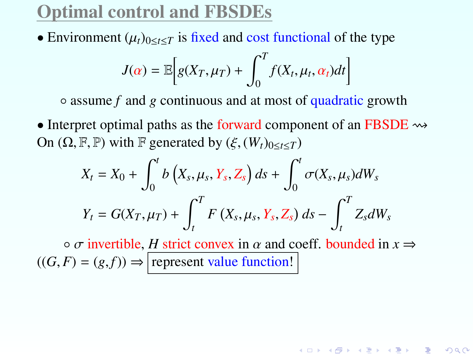• Environment  $(\mu_t)_{0 \le t \le T}$  is fixed and cost functional of the type

$$
J(\alpha) = \mathbb{E}\bigg[g(X_T,\mu_T) + \int_0^T f(X_t,\mu_t,\alpha_t)dt\bigg]
$$

◦ assume *f* and *g* continuous and at most of quadratic growth

• Interpret optimal paths as the forward component of an FBSDE  $\rightsquigarrow$ On  $(\Omega, \mathbb{F}, \mathbb{P})$  with  $\mathbb{F}$  generated by  $(\xi, (W_t)_{0 \le t \le T})$ 

$$
X_t = X_0 + \int_0^t b\left(X_s, \mu_s, Y_s, Z_s\right) ds + \int_0^t \sigma(X_s, \mu_s) dW_s
$$
  

$$
Y_t = G(X_T, \mu_T) + \int_t^T F\left(X_s, \mu_s, Y_s, Z_s\right) ds - \int_t^T Z_s dW_s
$$

 $\circ$  *σ* invertible, *H* strict convex in *α* and coeff. bounded in  $x \Rightarrow$  $((G, F) = (g, f)) \Rightarrow$  represent value function!

K ロ ▶ K @ ▶ K 할 ▶ K 할 ▶ ① 할 → ① 익단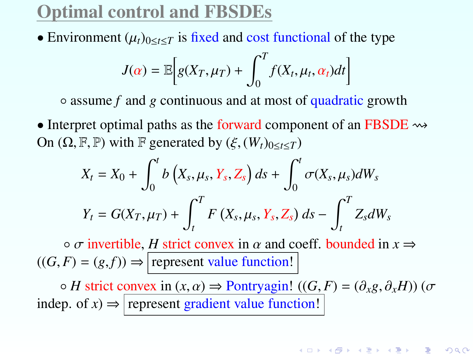• Environment  $(\mu_t)_{0 \le t \le T}$  is fixed and cost functional of the type

$$
J(\alpha) = \mathbb{E}\bigg[g(X_T,\mu_T) + \int_0^T f(X_t,\mu_t,\alpha_t)dt\bigg]
$$

◦ assume *f* and *g* continuous and at most of quadratic growth

• Interpret optimal paths as the forward component of an FBSDE  $\rightsquigarrow$ On  $(\Omega, \mathbb{F}, \mathbb{P})$  with  $\mathbb{F}$  generated by  $(\xi, (W_t)_{0 \le t \le T})$ 

$$
X_t = X_0 + \int_0^t b\left(X_s, \mu_s, Y_s, Z_s\right) ds + \int_0^t \sigma(X_s, \mu_s) dW_s
$$
  

$$
Y_t = G(X_T, \mu_T) + \int_t^T F\left(X_s, \mu_s, Y_s, Z_s\right) ds - \int_t^T Z_s dW_s
$$

 $\circ$  *σ* invertible, *H* strict convex in *α* and coeff. bounded in  $x \Rightarrow$  $((G, F) = (g, f)) \Rightarrow$  represent value function!

 $\circ$  *H* strict convex in  $(x, \alpha) \Rightarrow$  Pontryagin!  $((G, F) = (\partial_x g, \partial_x H))$  ( $\sigma$ indep. of  $x$ )  $\Rightarrow$  represent gradient value function!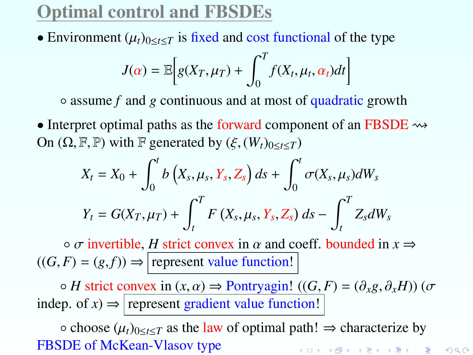• Environment  $(\mu_t)_{0 \le t \le T}$  is fixed and cost functional of the type

$$
J(\alpha) = \mathbb{E}\bigg[g(X_T,\mu_T) + \int_0^T f(X_t,\mu_t,\alpha_t)dt\bigg]
$$

◦ assume *f* and *g* continuous and at most of quadratic growth

• Interpret optimal paths as the forward component of an FBSDE  $\rightsquigarrow$ On  $(\Omega, \mathbb{F}, \mathbb{P})$  with  $\mathbb{F}$  generated by  $(\xi, (W_t)_{0 \le t \le T})$ 

$$
X_t = X_0 + \int_0^t b\left(X_s, \mu_s, Y_s, Z_s\right) ds + \int_0^t \sigma(X_s, \mu_s) dW_s
$$
  

$$
Y_t = G(X_T, \mu_T) + \int_t^T F\left(X_s, \mu_s, Y_s, Z_s\right) ds - \int_t^T Z_s dW_s
$$

 $\circ$  *σ* invertible, *H* strict convex in *α* and coeff. bounded in  $x \Rightarrow$  $((G, F) = (g, f)) \Rightarrow$  represent value function!

 $\circ$  *H* strict convex in  $(x, \alpha) \Rightarrow$  Pontryagin!  $((G, F) = (\partial_x g, \partial_x H))$  ( $\sigma$ indep. of  $x$ )  $\Rightarrow$  represent gradient value function!

**○ choose**  $(\mu_t)_{0 \le t \le T}$  **as the law of optimal path!**  $\Rightarrow$  **characterize by<br>SDE of McKean-Vlasov type** FBSDE of McKean-Vlasov type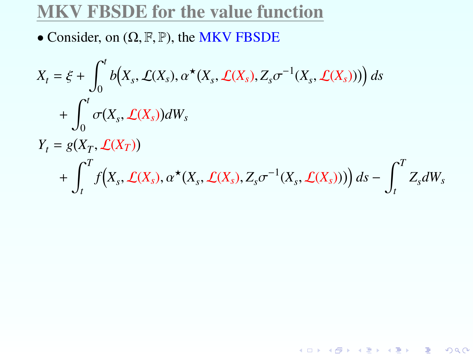### MKV FBSDE for the value function

• Consider, on  $(\Omega, \mathbb{F}, \mathbb{P})$ , the MKV FBSDE

$$
X_t = \xi + \int_0^t b(X_s, \mathcal{L}(X_s), \alpha^{\star}(X_s, \mathcal{L}(X_s), Z_s \sigma^{-1}(X_s, \mathcal{L}(X_s)))) ds
$$
  
+ 
$$
\int_0^t \sigma(X_s, \mathcal{L}(X_s)) dW_s
$$
  

$$
Y_t = g(X_T, \mathcal{L}(X_T))
$$
  
+ 
$$
\int_t^T f(X_s, \mathcal{L}(X_s), \alpha^{\star}(X_s, \mathcal{L}(X_s), Z_s \sigma^{-1}(X_s, \mathcal{L}(X_s)))) ds - \int_t^T Z_s dW_s
$$

세대 시계 이 시험이 시험이 있을 것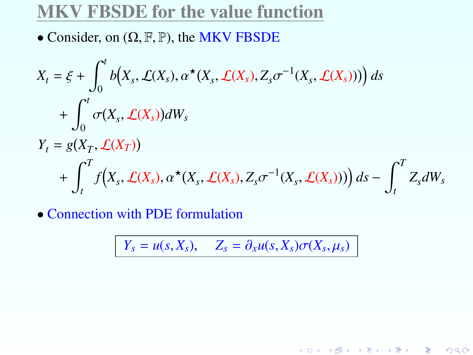#### MKV FBSDE for the value function

• Consider, on  $(\Omega, \mathbb{F}, \mathbb{P})$ , the MKV FBSDE

$$
X_t = \xi + \int_0^t b(X_s, \mathcal{L}(X_s), \alpha^{\star}(X_s, \mathcal{L}(X_s), Z_s \sigma^{-1}(X_s, \mathcal{L}(X_s)))) ds
$$
  
+ 
$$
\int_0^t \sigma(X_s, \mathcal{L}(X_s)) dW_s
$$
  

$$
Y_t = g(X_T, \mathcal{L}(X_T))
$$
  
+ 
$$
\int_t^T f(X_s, \mathcal{L}(X_s), \alpha^{\star}(X_s, \mathcal{L}(X_s), Z_s \sigma^{-1}(X_s, \mathcal{L}(X_s)))) ds - \int_t^T Z_s dW_s
$$

• Connection with PDE formulation

$$
Y_s = u(s, X_s), \quad Z_s = \partial_x u(s, X_s) \sigma(X_s, \mu_s)
$$

メロト メ御 トメ 君 トメ 君 トッ 君 し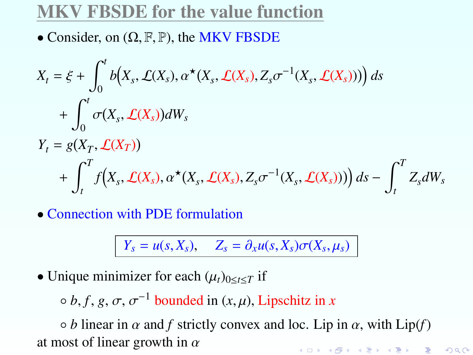### MKV FBSDE for the value function

• Consider, on  $(\Omega, \mathbb{F}, \mathbb{P})$ , the MKV FBSDE

$$
X_t = \xi + \int_0^t b(X_s, \mathcal{L}(X_s), \alpha^{\star}(X_s, \mathcal{L}(X_s), Z_s \sigma^{-1}(X_s, \mathcal{L}(X_s)))) ds
$$
  
+ 
$$
\int_0^t \sigma(X_s, \mathcal{L}(X_s)) dW_s
$$
  

$$
Y_t = g(X_T, \mathcal{L}(X_T))
$$
  
+ 
$$
\int_t^T f(X_s, \mathcal{L}(X_s), \alpha^{\star}(X_s, \mathcal{L}(X_s), Z_s \sigma^{-1}(X_s, \mathcal{L}(X_s)))) ds - \int_t^T Z_s dW_s
$$

• Connection with PDE formulation

$$
Y_s = u(s, X_s), \quad Z_s = \partial_x u(s, X_s) \sigma(X_s, \mu_s)
$$

• Unique minimizer for each  $(\mu_t)_{0 \le t \le T}$  if

 $\circ$  *b*, *f*, *g*,  $\sigma$ ,  $\sigma^{-1}$  bounded in  $(x, \mu)$ , Lipschitz in *x* 

 $\circ$  *b* linear in  $\alpha$  and  $f$  strictly convex and loc. Lip in  $\alpha$ , with Lip(*f*) at most of linear growth in  $\alpha$ ◆ロト → 個 ト → 足 ト → 足 ト 一足。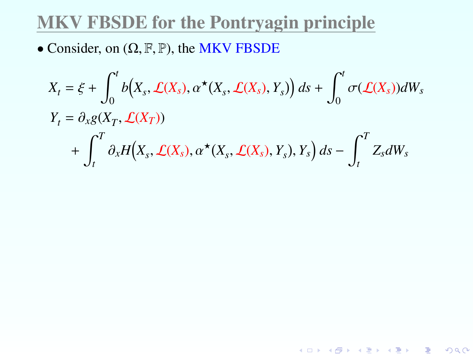### MKV FBSDE for the Pontryagin principle

• Consider, on  $(\Omega, \mathbb{F}, \mathbb{P})$ , the MKV FBSDE

$$
X_t = \xi + \int_0^t b(X_s, \mathcal{L}(X_s), \alpha^{\star}(X_s, \mathcal{L}(X_s), Y_s)) ds + \int_0^t \sigma(\mathcal{L}(X_s)) dW_s
$$
  
\n
$$
Y_t = \partial_{x} g(X_T, \mathcal{L}(X_T))
$$
  
\n
$$
+ \int_t^T \partial_{x} H(X_s, \mathcal{L}(X_s), \alpha^{\star}(X_s, \mathcal{L}(X_s), Y_s), Y_s) ds - \int_t^T Z_s dW_s
$$

<span id="page-46-0"></span>★ ロン → 御 ン → 》 → (理 ン → 理 )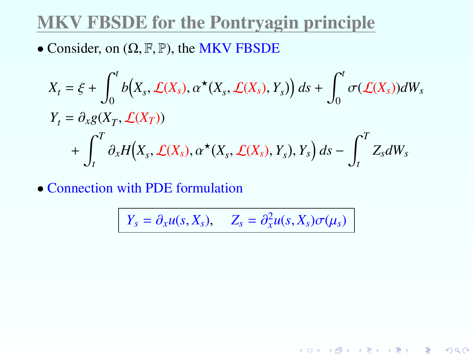### MKV FBSDE for the Pontryagin principle

• Consider, on  $(\Omega, \mathbb{F}, \mathbb{P})$ , the MKV FBSDE

$$
X_t = \xi + \int_0^t b(X_s, \mathcal{L}(X_s), \alpha^{\star}(X_s, \mathcal{L}(X_s), Y_s)) ds + \int_0^t \sigma(\mathcal{L}(X_s)) dW_s
$$
  
\n
$$
Y_t = \partial_{x} g(X_T, \mathcal{L}(X_T))
$$
  
\n
$$
+ \int_t^T \partial_{x} H(X_s, \mathcal{L}(X_s), \alpha^{\star}(X_s, \mathcal{L}(X_s), Y_s), Y_s) ds - \int_t^T Z_s dW_s
$$

• Connection with PDE formulation

$$
Y_s = \partial_x u(s, X_s), \quad Z_s = \partial_x^2 u(s, X_s) \sigma(\mu_s)
$$

メロト メ御 トメ 君 トメ 君 トッ 君 し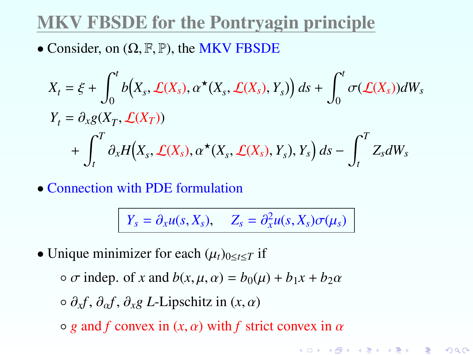### MKV FBSDE for the Pontryagin principle

• Consider, on  $(\Omega, \mathbb{F}, \mathbb{P})$ , the MKV FBSDE

$$
X_t = \xi + \int_0^t b(X_s, \mathcal{L}(X_s), \alpha^{\star}(X_s, \mathcal{L}(X_s), Y_s)) ds + \int_0^t \sigma(\mathcal{L}(X_s)) dW_s
$$
  
\n
$$
Y_t = \partial_{x} g(X_T, \mathcal{L}(X_T))
$$
  
\n
$$
+ \int_t^T \partial_{x} H(X_s, \mathcal{L}(X_s), \alpha^{\star}(X_s, \mathcal{L}(X_s), Y_s), Y_s) ds - \int_t^T Z_s dW_s
$$

• Connection with PDE formulation

$$
Y_s = \partial_x u(s, X_s), \quad Z_s = \partial_x^2 u(s, X_s) \sigma(\mu_s)
$$

K ロチ K 御 と K 君 と K 君 と 「君」

 $299$ 

• Unique minimizer for each  $(\mu_t)_{0 \le t \le T}$  if

 $\circ \sigma$  indep. of *x* and  $b(x, \mu, \alpha) = b_0(\mu) + b_1x + b_2\alpha$ 

 $\circ$   $\partial_x f$ ,  $\partial_{\alpha} f$ ,  $\partial_x g$  *L*-Lipschitz in  $(x, \alpha)$ 

<span id="page-48-0"></span> $\circ$  *g* and *f* convex in  $(x, \alpha)$  with *f* strict convex in  $\alpha$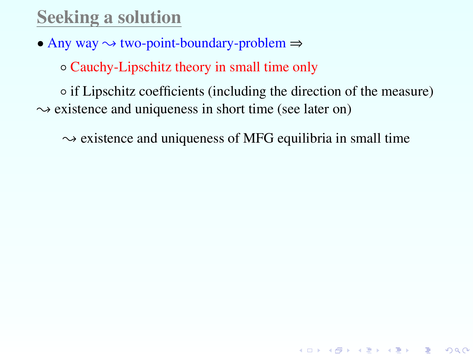# Seeking a solution

• Any way  $\rightsquigarrow$  two-point-boundary-problem  $\Rightarrow$ 

◦ Cauchy-Lipschitz theory in small time only

◦ if Lipschitz coefficients (including the direction of the measure)  $\rightarrow$  existence and uniqueness in short time (see later on)

 $\sim$  existence and uniqueness of MFG equilibria in small time

K ロ ▶ K @ ▶ K 할 ▶ K 할 ▶ → 할 → 9 Q @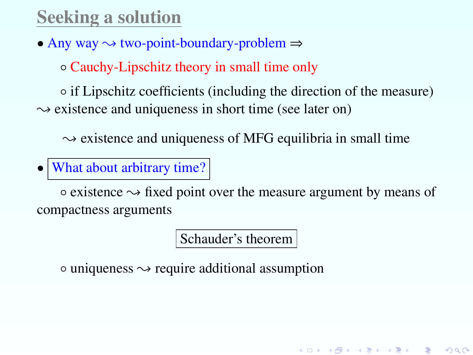# Seeking a solution

• Any way  $\rightsquigarrow$  two-point-boundary-problem  $\Rightarrow$ 

◦ Cauchy-Lipschitz theory in small time only

◦ if Lipschitz coefficients (including the direction of the measure)  $\rightarrow$  existence and uniqueness in short time (see later on)

 $\sim$  existence and uniqueness of MFG equilibria in small time

• What about arbitrary time?

 $\circ$  existence  $\rightsquigarrow$  fixed point over the measure argument by means of compactness arguments

Schauder's theorem

K ロ ▶ K @ ▶ K 할 ▶ K 할 ▶ ① 할 → ① 익C\*

 $\circ$  uniqueness  $\sim$  require additional assumption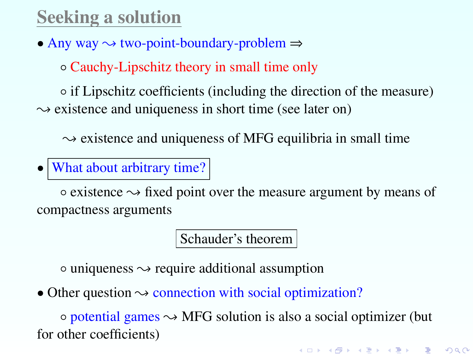# Seeking a solution

• Any way  $\rightsquigarrow$  two-point-boundary-problem  $\Rightarrow$ 

◦ Cauchy-Lipschitz theory in small time only

◦ if Lipschitz coefficients (including the direction of the measure)  $\rightarrow$  existence and uniqueness in short time (see later on)

 $\sim$  existence and uniqueness of MFG equilibria in small time

• What about arbitrary time?

 $\circ$  existence  $\rightsquigarrow$  fixed point over the measure argument by means of compactness arguments

Schauder's theorem

 $\circ$  uniqueness  $\sim$  require additional assumption

• Other question  $\sim$  connection with social optimization?

 $\circ$  potential games  $\sim$  MFG solution is also a social optimizer (but for other coefficients)

K ロ ▶ K @ ▶ K 할 ▶ K 할 ▶ → 할 → 9 Q @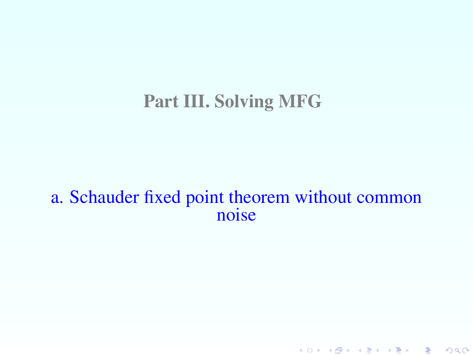### Part III. Solving MFG

#### a. Schauder fixed point theorem without common noise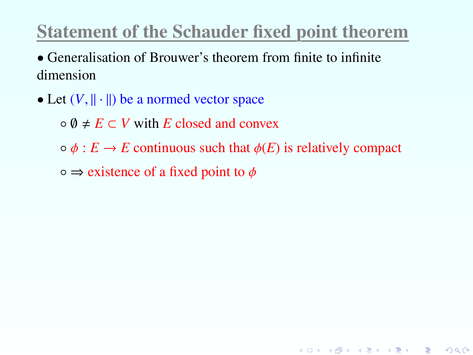# Statement of the Schauder fixed point theorem

• Generalisation of Brouwer's theorem from finite to infinite dimension

• Let  $(V, || \cdot ||)$  be a normed vector space

 $\circ$  0  $\neq$  *E*  $\subset$  *V* with *E* closed and convex

 $\circ \phi : E \to E$  continuous such that  $\phi(E)$  is relatively compact

K ロ ▶ K @ ▶ K 할 ▶ K 할 ▶ 이 할 → 900

 $\circ \Rightarrow$  existence of a fixed point to  $\phi$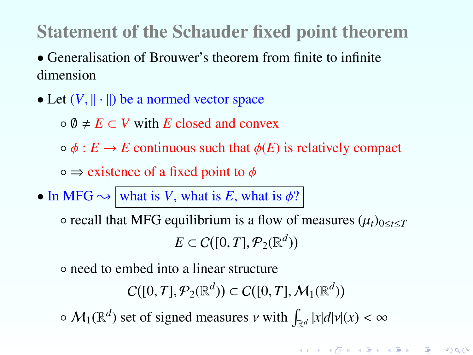# Statement of the Schauder fixed point theorem

• Generalisation of Brouwer's theorem from finite to infinite dimension

• Let  $(V, || \cdot ||)$  be a normed vector space

 $\circ$  0  $\neq$  *E*  $\subset$  *V* with *E* closed and convex

 $\circ \phi : E \to E$  continuous such that  $\phi(E)$  is relatively compact

 $\circ \Rightarrow$  existence of a fixed point to  $\phi$ 

• In MFG  $\rightsquigarrow$  what is *V*, what is *E*, what is  $\phi$ ?

 $\circ$  recall that MFG equilibrium is a flow of measures  $(\mu_t)_{0 \le t \le T}$  $E \subset C([0, T], \mathcal{P}_2(\mathbb{R}^d))$ 

◦ need to embed into a linear structure

 $C([0, T], \mathcal{P}_2(\mathbb{R}^d)) \subset C([0, T], \mathcal{M}_1(\mathbb{R}^d))$ 

K ロ ▶ K @ ▶ K 할 ▶ K 할 ▶ → 할 → 9 Q @

 $\sim M_1(\mathbb{R}^d)$  set of signed measures  $\nu$  with  $\int_{\mathbb{R}^d} |x| d|\nu(x) < \infty$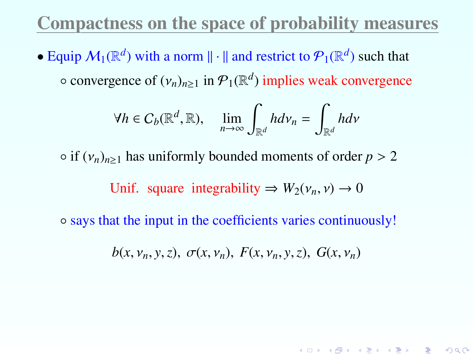### Compactness on the space of probability measures

• Equip  $M_1(\mathbb{R}^d)$  with a norm  $\|\cdot\|$  and restrict to  $\mathcal{P}_1(\mathbb{R}^d)$  such that  $\circ$  convergence of  $(v_n)_{n\geq 1}$  in  $\mathcal{P}_1(\mathbb{R}^d)$  implies weak convergence

$$
\forall h \in C_b(\mathbb{R}^d, \mathbb{R}), \quad \lim_{n \to \infty} \int_{\mathbb{R}^d} h dv_n = \int_{\mathbb{R}^d} h dv
$$

 $\circ$  if  $(v_n)_{n>1}$  has uniformly bounded moments of order  $p > 2$ 

Unif. square integrability  $\Rightarrow$   $W_2(\nu_n, \nu) \rightarrow 0$ 

◦ says that the input in the coefficients varies continuously!

 $b(x, v_n, y, z), \sigma(x, v_n), F(x, v_n, y, z), G(x, v_n)$ 

K ロ ▶ K @ ▶ K 할 ▶ K 할 ▶ → 할 → 9 Q @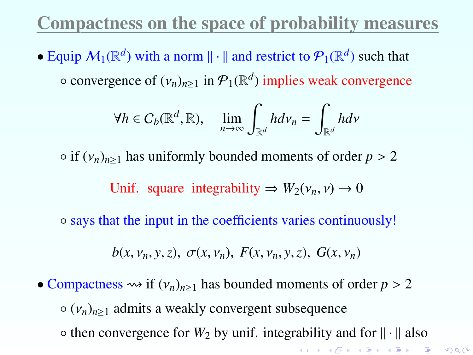## Compactness on the space of probability measures

• Equip  $M_1(\mathbb{R}^d)$  with a norm  $\|\cdot\|$  and restrict to  $\mathcal{P}_1(\mathbb{R}^d)$  such that  $\circ$  convergence of  $(v_n)_{n\geq 1}$  in  $\mathcal{P}_1(\mathbb{R}^d)$  implies weak convergence

$$
\forall h \in C_b(\mathbb{R}^d, \mathbb{R}), \quad \lim_{n \to \infty} \int_{\mathbb{R}^d} h dv_n = \int_{\mathbb{R}^d} h dv
$$

 $\circ$  if  $(v_n)_{n>1}$  has uniformly bounded moments of order  $p > 2$ 

Unif. square integrability  $\Rightarrow$   $W_2(\nu_n, \nu) \rightarrow 0$ 

◦ says that the input in the coefficients varies continuously!

$$
b(x, v_n, y, z), \sigma(x, v_n), F(x, v_n, y, z), G(x, v_n)
$$

<span id="page-56-0"></span>• Compactness  $\rightsquigarrow$  if  $(v_n)_{n>1}$  has bounded moments of order  $p > 2$  $\circ$  ( $v_n$ )<sub>n>1</sub> admits a weakly convergent subsequence  $\circ$  then convergence for  $W_2$  by unif. integrability and for  $\|\cdot\|$  also K ロ ▶ K @ ▶ K 할 ▶ K 할 ▶ 이 할 → 900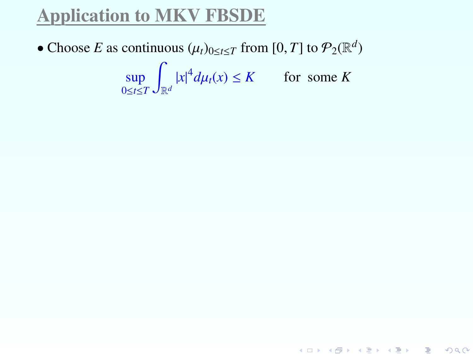## Application to MKV FBSDE

• Choose *E* as continuous  $(\mu_t)_{0 \le t \le T}$  from  $[0, T]$  to  $\mathcal{P}_2(\mathbb{R}^d)$ 

sup 0≤*t*≤*T* Z  $\left| x \right|^4 d\mu_t(x) \le K$  for some *K* 

<span id="page-57-0"></span>K ロ ▶ K @ ▶ K 할 ▶ K 할 ▶ → 할 → 9 Q @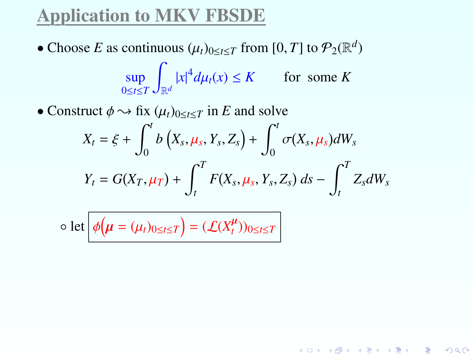## Application to MKV FBSDE

- Choose *E* as continuous  $(\mu_t)_{0 \le t \le T}$  from  $[0, T]$  to  $\mathcal{P}_2(\mathbb{R}^d)$ sup 0≤*t*≤*T* Z  $\left| x \right|^4 d\mu_t(x) \le K$  for some *K*
- Construct  $\phi \rightarrow \text{fix } (\mu_t)_{0 \leq t \leq T}$  in *E* and solve

$$
X_t = \xi + \int_0^t b\left(X_s, \mu_s, Y_s, Z_s\right) + \int_0^t \sigma(X_s, \mu_s) dW_s
$$
  

$$
Y_t = G(X_T, \mu_T) + \int_t^T F(X_s, \mu_s, Y_s, Z_s) ds - \int_t^T Z_s dW_s
$$

K ロ ▶ K @ ▶ K 할 ▶ K 할 ▶ 이 할 → 90 Q ^

<span id="page-58-0"></span>
$$
\circ \text{ let } \phi(\boldsymbol{\mu} = (\mu_t)_{0 \leq t \leq T}) = (\mathcal{L}(X_t^{\boldsymbol{\mu}}))_{0 \leq t \leq T}
$$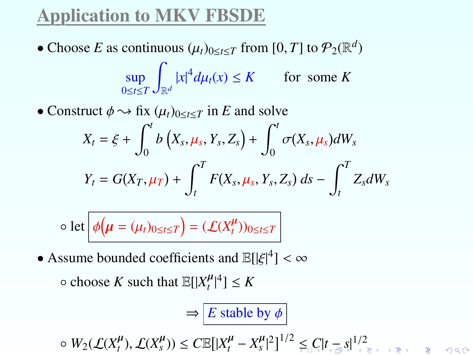# Application to MKV FBSDE

- Choose *E* as continuous  $(\mu_t)_{0 \le t \le T}$  from  $[0, T]$  to  $\mathcal{P}_2(\mathbb{R}^d)$ sup 0≤*t*≤*T* Z  $\left| x \right|^4 d\mu_t(x) \le K$  for some *K*
- Construct  $\phi \rightarrow \text{fix } (\mu_t)_{0 \leq t \leq T}$  in *E* and solve

$$
X_t = \xi + \int_0^t b\left(X_s, \mu_s, Y_s, Z_s\right) + \int_0^t \sigma(X_s, \mu_s) dW_s
$$
  

$$
Y_t = G(X_T, \mu_T) + \int_t^T F(X_s, \mu_s, Y_s, Z_s) ds - \int_t^T Z_s dW_s
$$

$$
\circ \text{ let } \phi(\boldsymbol{\mu} = (\mu_t)_{0 \leq t \leq T}) = (\mathcal{L}(X_t^{\boldsymbol{\mu}}))_{0 \leq t \leq T}
$$

• Assume bounded coefficients and  $\mathbb{E}[|\xi|^4] < \infty$ 

 $\circ$  choose *K* such that  $\mathbb{E}[|X_t^{\mu}|^4] \leq K$ 

$$
\Rightarrow \boxed{E \text{ stable by } \phi}
$$

<span id="page-59-0"></span> $\leq \frac{W_2(\mathcal{L}(X_t^{\mu}), \mathcal{L}(X_s^{\mu})) \leq C \mathbb{E}[|X_t^{\mu} - X_s^{\mu}|^2]^{1/2} \leq C |t_{\text{max}}|^{1/2}$  $\leq \frac{W_2(\mathcal{L}(X_t^{\mu}), \mathcal{L}(X_s^{\mu})) \leq C \mathbb{E}[|X_t^{\mu} - X_s^{\mu}|^2]^{1/2} \leq C |t_{\text{max}}|^{1/2}$  $\leq \frac{W_2(\mathcal{L}(X_t^{\mu}), \mathcal{L}(X_s^{\mu})) \leq C \mathbb{E}[|X_t^{\mu} - X_s^{\mu}|^2]^{1/2} \leq C |t_{\text{max}}|^{1/2}$  $\leq \frac{W_2(\mathcal{L}(X_t^{\mu}), \mathcal{L}(X_s^{\mu})) \leq C \mathbb{E}[|X_t^{\mu} - X_s^{\mu}|^2]^{1/2} \leq C |t_{\text{max}}|^{1/2}$  $\leq \frac{W_2(\mathcal{L}(X_t^{\mu}), \mathcal{L}(X_s^{\mu})) \leq C \mathbb{E}[|X_t^{\mu} - X_s^{\mu}|^2]^{1/2} \leq C |t_{\text{max}}|^{1/2}$  $\leq \frac{W_2(\mathcal{L}(X_t^{\mu}), \mathcal{L}(X_s^{\mu})) \leq C \mathbb{E}[|X_t^{\mu} - X_s^{\mu}|^2]^{1/2} \leq C |t_{\text{max}}|^{1/2}$  $\leq \frac{W_2(\mathcal{L}(X_t^{\mu}), \mathcal{L}(X_s^{\mu})) \leq C \mathbb{E}[|X_t^{\mu} - X_s^{\mu}|^2]^{1/2} \leq C |t_{\text{max}}|^{1/2}$  $\leq \frac{W_2(\mathcal{L}(X_t^{\mu}), \mathcal{L}(X_s^{\mu})) \leq C \mathbb{E}[|X_t^{\mu} - X_s^{\mu}|^2]^{1/2} \leq C |t_{\text{max}}|^{1/2}$  $\leq \frac{W_2(\mathcal{L}(X_t^{\mu}), \mathcal{L}(X_s^{\mu})) \leq C \mathbb{E}[|X_t^{\mu} - X_s^{\mu}|^2]^{1/2} \leq C |t_{\text{max}}|^{1/2}$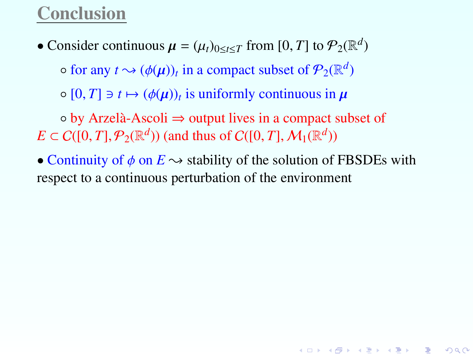### Conclusion

• Consider continuous  $\mu = (\mu_t)_{0 \le t \le T}$  from [0, *T*] to  $\mathcal{P}_2(\mathbb{R}^d)$ 

 $\circ$  for any  $t \rightsquigarrow (\phi(\mu))_t$  in a compact subset of  $\mathcal{P}_2(\mathbb{R}^d)$ 

 $\circ$  [0, *T*]  $\ni$  *t*  $\mapsto$   $(\phi(\mu))_t$  is uniformly continuous in  $\mu$ 

◦ by Arzelà-Ascoli ⇒ output lives in a compact subset of  $E \subset C([0, T], \mathcal{P}_2(\mathbb{R}^d))$  (and thus of  $C([0, T], \mathcal{M}_1(\mathbb{R}^d))$ 

<span id="page-60-0"></span>• Continuity of  $\phi$  on  $E \rightarrow$  stability of the solution of FBSDEs with respect to a continuous perturbation of the environment

K ロ ▶ K @ ▶ K 할 ▶ K 할 ▶ → 할 → 9 Q @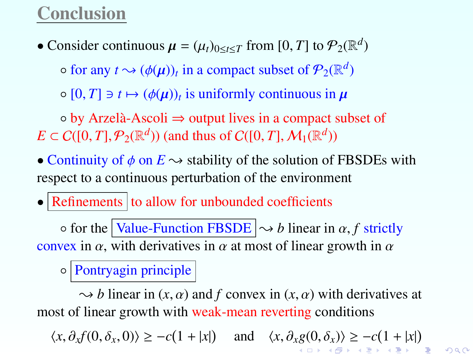### Conclusion

• Consider continuous  $\mu = (\mu_t)_{0 \le t \le T}$  from [0, *T*] to  $\mathcal{P}_2(\mathbb{R}^d)$ 

 $\circ$  for any  $t \rightsquigarrow (\phi(\mu))_t$  in a compact subset of  $\mathcal{P}_2(\mathbb{R}^d)$ 

 $\circ$  [0, *T*]  $\ni$  *t*  $\mapsto$   $(\phi(\mu))_t$  is uniformly continuous in  $\mu$ 

◦ by Arzelà-Ascoli ⇒ output lives in a compact subset of  $E \subset C([0, T], \mathcal{P}_2(\mathbb{R}^d))$  (and thus of  $C([0, T], \mathcal{M}_1(\mathbb{R}^d))$ 

• Continuity of  $\phi$  on  $E \rightarrow$  stability of the solution of FBSDEs with respect to a continuous perturbation of the environment

 $\bullet$  Refinements to allow for unbounded coefficients

 $\circ$  for the Value-Function FBSDE  $\sim b$  linear in  $\alpha$ , f strictly convex in  $\alpha$ , with derivatives in  $\alpha$  at most of linear growth in  $\alpha$ 

◦ Pontryagin principle

 $\rightarrow b$  linear in (*x*,  $\alpha$ ) and *f* convex in (*x*,  $\alpha$ ) with derivatives at most of linear growth with weak-mean reverting conditions

<span id="page-61-0"></span> $\langle x, \partial_x f(0, \delta_x, 0) \rangle \ge -c(1 + |x|)$  $\langle x, \partial_x f(0, \delta_x, 0) \rangle \ge -c(1 + |x|)$  $\langle x, \partial_x f(0, \delta_x, 0) \rangle \ge -c(1 + |x|)$  $\langle x, \partial_x f(0, \delta_x, 0) \rangle \ge -c(1 + |x|)$  and  $\langle x, \partial_x g(0, \delta_x) \rangle \ge -c(1 + |x|)$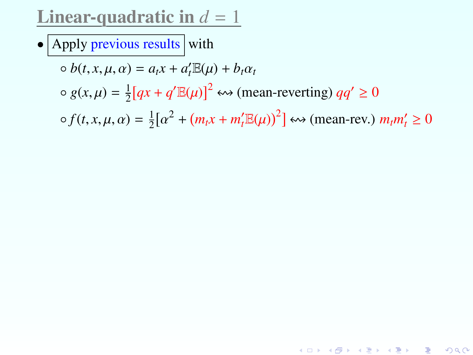### **Linear-quadratic in**  $d = 1$

• Apply previous results with

$$
\circ \, b(t, x, \mu, \alpha) = a_t x + a'_t \mathbb{E}(\mu) + b_t \alpha_t
$$

 $\circ$  *g*(*x*,  $\mu$ ) =  $\frac{1}{2}$  $\frac{1}{2}[qx + q' \mathbb{E}(\mu)]^2 \leftrightarrow \text{(mean-reverting)}\, qq' \geq 0$ 

<span id="page-62-0"></span> $\circ$  *f*(*t*, *x*,  $\mu$ ,  $\alpha$ ) =  $\frac{1}{2}$  $rac{1}{2}[\alpha$  $2^2 + (m_t x + m_t' \mathbb{E}(\mu))^2$   $\leftrightarrow$  (mean-rev.)  $m_t m_t' \ge 0$ 

K ロ ▶ K @ ▶ K 할 ▶ K 할 ▶ 이 할 → 900 Q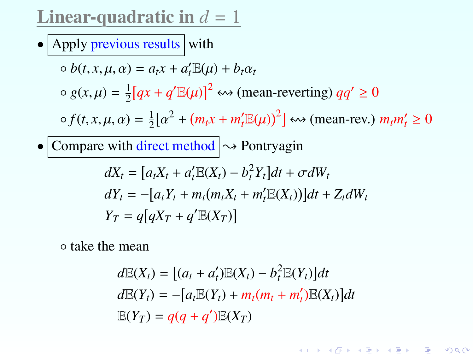**Linear-quadratic in**  $d = 1$ 

• Apply previous results with

$$
\circ b(t, x, \mu, \alpha) = a_t x + a'_t \mathbb{E}(\mu) + b_t \alpha_t
$$
  
\n
$$
\circ g(x, \mu) = \frac{1}{2} [qx + q' \mathbb{E}(\mu)]^2 \leftrightarrow \text{(mean-reverting)} \ qq' \ge 0
$$
  
\n
$$
\circ f(t, x, \mu, \alpha) = \frac{1}{2} [\alpha^2 + (m_t x + m'_t \mathbb{E}(\mu))^2] \leftrightarrow \text{(mean-rev.)} \ m_t m'_t \ge 0
$$

• Compare with direct method  $\sim$  Pontryagin

$$
dX_t = [a_t X_t + a'_t \mathbb{E}(X_t) - b_t^2 Y_t] dt + \sigma dW_t
$$
  
\n
$$
dY_t = -[a_t Y_t + m_t (m_t X_t + m'_t \mathbb{E}(X_t))] dt + Z_t dW_t
$$
  
\n
$$
Y_T = q[qX_T + q' \mathbb{E}(X_T)]
$$

<span id="page-63-0"></span>◦ take the mean

$$
d\mathbb{E}(X_t) = [(a_t + a'_t)\mathbb{E}(X_t) - b_t^2 \mathbb{E}(Y_t)]dt
$$
  
\n
$$
d\mathbb{E}(Y_t) = -[a_t\mathbb{E}(Y_t) + m_t(m_t + m'_t)\mathbb{E}(X_t)]dt
$$
  
\n
$$
\mathbb{E}(Y_T) = q(q + q')\mathbb{E}(X_T)
$$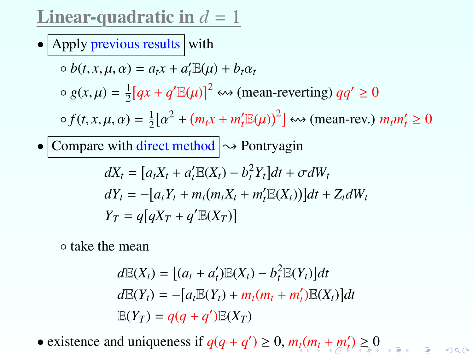Linear-quadratic in  $d = 1$ 

• Apply previous results with

$$
\circ b(t, x, \mu, \alpha) = a_t x + a'_t \mathbb{E}(\mu) + b_t \alpha_t
$$
  
\n
$$
\circ g(x, \mu) = \frac{1}{2} [qx + q' \mathbb{E}(\mu)]^2 \leftrightarrow \text{(mean-reverting)} \ qq' \ge 0
$$
  
\n
$$
\circ f(t, x, \mu, \alpha) = \frac{1}{2} [\alpha^2 + (m_t x + m'_t \mathbb{E}(\mu))^2] \leftrightarrow \text{(mean-rev.)} \ m_t m'_t \ge 0
$$

• Compare with direct method  $\sim$  Pontryagin

$$
dX_t = [a_t X_t + a'_t \mathbb{E}(X_t) - b_t^2 Y_t] dt + \sigma dW_t
$$
  
\n
$$
dY_t = -[a_t Y_t + m_t (m_t X_t + m'_t \mathbb{E}(X_t))] dt + Z_t dW_t
$$
  
\n
$$
Y_T = q[qX_T + q' \mathbb{E}(X_T)]
$$

◦ take the mean

$$
d\mathbb{E}(X_t) = [(a_t + a'_t)\mathbb{E}(X_t) - b_t^2 \mathbb{E}(Y_t)]dt
$$
  
\n
$$
d\mathbb{E}(Y_t) = -[a_t\mathbb{E}(Y_t) + m_t(m_t + m'_t)\mathbb{E}(X_t)]dt
$$
  
\n
$$
\mathbb{E}(Y_T) = q(q + q')\mathbb{E}(X_T)
$$

<span id="page-64-0"></span>• exis[t](#page-65-0)ence and uniqueness if  $q(q + q') \ge 0$  $q(q + q') \ge 0$  $q(q + q') \ge 0$  $q(q + q') \ge 0$  $q(q + q') \ge 0$  $q(q + q') \ge 0$ ,  $m_l(m_l + m_l') \ge 0$  $m_l(m_l + m_l') \ge 0$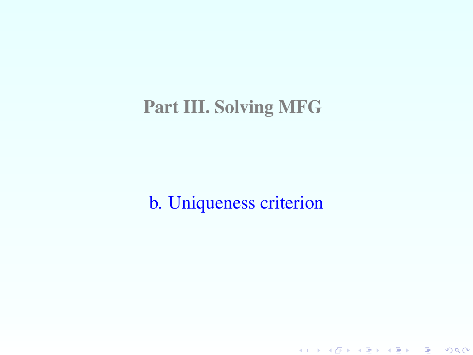## Part III. Solving MFG

<span id="page-65-0"></span>b. Uniqueness criterion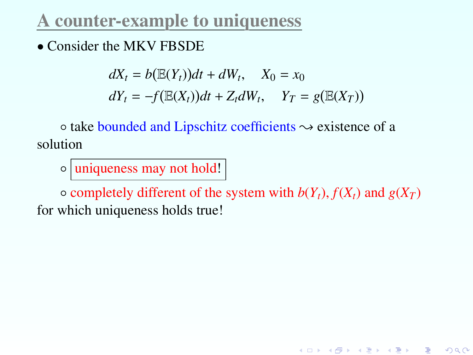### A counter-example to uniqueness

• Consider the MKV FBSDE

$$
dX_t = b(\mathbb{E}(Y_t))dt + dW_t, \quad X_0 = x_0
$$
  

$$
dY_t = -f(\mathbb{E}(X_t))dt + Z_t dW_t, \quad Y_T = g(\mathbb{E}(X_T))
$$

 $\circ$  take bounded and Lipschitz coefficients  $\sim$  existence of a solution

◦ uniqueness may not hold!

 $\circ$  completely different of the system with  $b(Y_t)$ ,  $f(X_t)$  and  $g(X_T)$ for which uniqueness holds true!

K ロ K K @ K K R K X R K T R R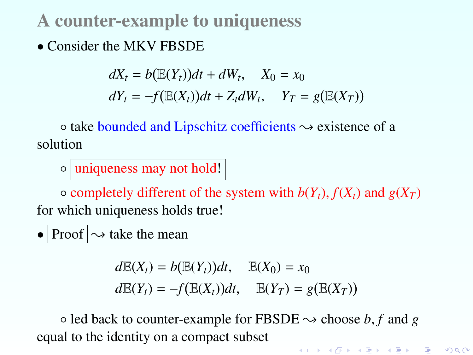### A counter-example to uniqueness

• Consider the MKV FBSDE

$$
dX_t = b(\mathbb{E}(Y_t))dt + dW_t, \quad X_0 = x_0
$$
  

$$
dY_t = -f(\mathbb{E}(X_t))dt + Z_t dW_t, \quad Y_T = g(\mathbb{E}(X_T))
$$

 $\circ$  take bounded and Lipschitz coefficients  $\sim$  existence of a solution

◦ uniqueness may not hold!

 $\circ$  completely different of the system with  $b(Y_t)$ ,  $f(X_t)$  and  $g(X_T)$ for which uniqueness holds true!

• Proof  $\sim$  take the mean

 $dE(X_t) = b(E(Y_t))dt, \quad E(X_0) = x_0$  $dE(Y_t) = -f(E(X_t))dt, \quad E(Y_T) = g(E(X_T))$ 

 $\circ$  led back to counter-example for FBSDE  $\rightsquigarrow$  choose *b*, *f* and *g* equal to the identity on a compact subsetK ロ ▶ K @ ▶ K 할 ▶ K 할 ▶ → 할 → 9 Q @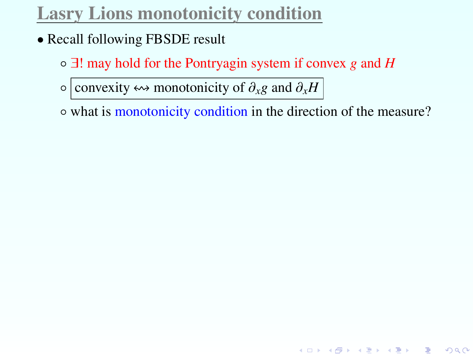# Lasry Lions monotonicity condition

- Recall following FBSDE result
	- ∃! may hold for the Pontryagin system if convex *g* and *H*

 $\circ$  convexity  $\leftrightarrow$  monotonicity of  $\partial_x g$  and  $\partial_x H$ 

◦ what is monotonicity condition in the direction of the measure?

K ロ ▶ K @ ▶ K 할 ▶ K 할 ▶ ① 할 → ① 익C\*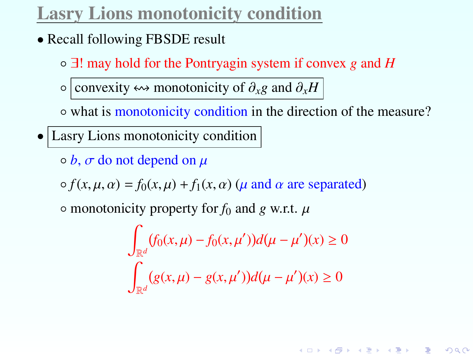# Lasry Lions monotonicity condition

- Recall following FBSDE result
	- ∃! may hold for the Pontryagin system if convex *g* and *H*
	- convexity ! monotonicity of ∂*x<sup>g</sup>* and ∂*x<sup>H</sup>*
	- what is monotonicity condition in the direction of the measure?
- Lasry Lions monotonicity condition
	- $\circ$  *b*,  $\sigma$  do not depend on  $\mu$

 $\circ$  *f*(*x*,  $\mu$ ,  $\alpha$ ) = *f*<sub>0</sub>(*x*,  $\mu$ ) + *f*<sub>1</sub>(*x*,  $\alpha$ ) ( $\mu$  and  $\alpha$  are separated)

 $\circ$  monotonicity property for  $f_0$  and *g* w.r.t.  $\mu$ 

$$
\int_{\mathbb{R}^d} (f_0(x,\mu) - f_0(x,\mu'))d(\mu - \mu')(x) \ge 0
$$
  

$$
\int_{\mathbb{R}^d} (g(x,\mu) - g(x,\mu'))d(\mu - \mu')(x) \ge 0
$$

K ロ K K @ K K R K X R K ( B K ) B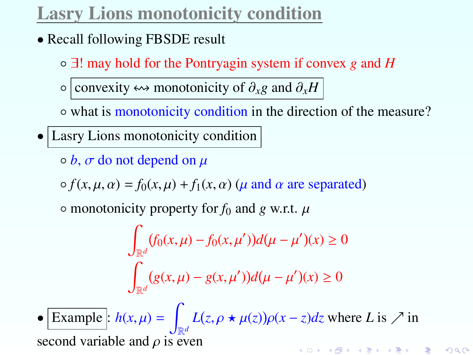# Lasry Lions monotonicity condition

- Recall following FBSDE result
	- ∃! may hold for the Pontryagin system if convex *g* and *H*
	- convexity ! monotonicity of ∂*x<sup>g</sup>* and ∂*x<sup>H</sup>*
	- what is monotonicity condition in the direction of the measure?
- Lasry Lions monotonicity condition
	- $\circ$  *b*,  $\sigma$  do not depend on  $\mu$

 $\circ$  *f*(*x*,  $\mu$ ,  $\alpha$ ) = *f*<sub>0</sub>(*x*,  $\mu$ ) + *f*<sub>1</sub>(*x*,  $\alpha$ ) ( $\mu$  and  $\alpha$  are separated)

 $\circ$  monotonicity property for  $f_0$  and *g* w.r.t.  $\mu$ 

$$
\int_{\mathbb{R}^d} (f_0(x,\mu) - f_0(x,\mu'))d(\mu - \mu')(x) \ge 0
$$
  

$$
\int_{\mathbb{R}^d} (g(x,\mu) - g(x,\mu'))d(\mu - \mu')(x) \ge 0
$$

• Example :  $h(x, \mu) = \int$  $L(z, \rho \star \mu(z))\rho(x-z)dz$  where *L* is  $\nearrow$  in second variable and  $\rho$  is even .<br>◆ ロ ▶ → ④ ▶ → 로 ▶ → 로 ▶ → 로 → ⊙ Q ⊙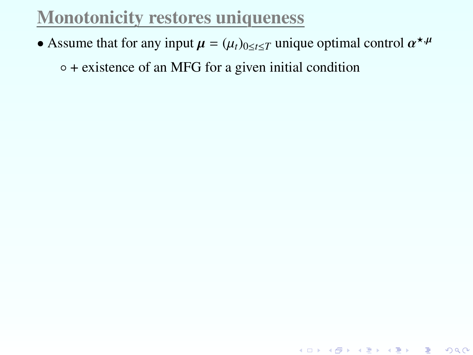## Monotonicity restores uniqueness

• Assume that for any input  $\mu = (\mu_t)_{0 \le t \le T}$  unique optimal control  $\alpha^{*,\mu}$ 

◦ + existence of an MFG for a given initial condition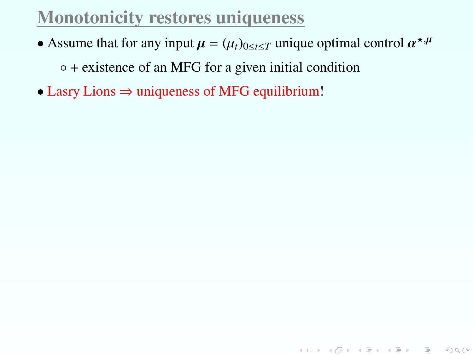• Assume that for any input  $\mu = (\mu_t)_{0 \le t \le T}$  unique optimal control  $\alpha^{*,\mu}$ 

◦ + existence of an MFG for a given initial condition

• Lasry Lions ⇒ uniqueness of MFG equilibrium!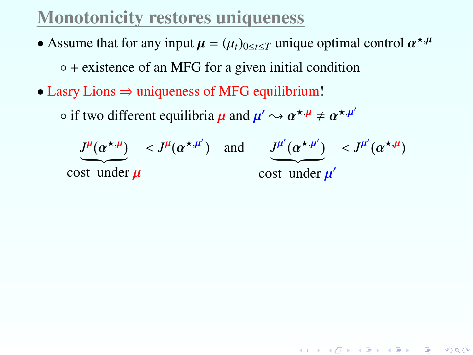- Assume that for any input  $\mu = (\mu_t)_{0 \le t \le T}$  unique optimal control  $\alpha^{*,\mu}$ ◦ + existence of an MFG for a given initial condition
- Lasry Lions ⇒ uniqueness of MFG equilibrium!

 $\circ$  if two different equilibria  $\mu$  and  $\mu' \leadsto \alpha^{\star,\mu} \neq \alpha^{\star,\mu'}$ 

$$
\underbrace{J^{\mu}(\alpha^{\star,\mu})}_{\text{cost under }\mu} < J^{\mu}(\alpha^{\star,\mu'}) \quad \text{and} \quad \underbrace{J^{\mu'}(\alpha^{\star,\mu'})}_{\text{cost under }\mu'} < J^{\mu'}(\alpha^{\star,\mu})
$$

K ロ ▶ K @ ▶ K 할 ▶ K 할 ▶ → 할 → 9 Q @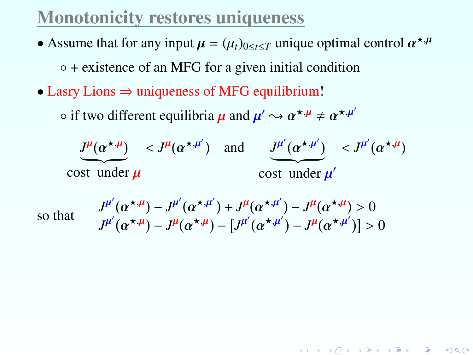- Assume that for any input  $\mu = (\mu_t)_{0 \le t \le T}$  unique optimal control  $\alpha^{*,\mu}$ ◦ + existence of an MFG for a given initial condition
- Lasry Lions ⇒ uniqueness of MFG equilibrium!

 $\circ$  if two different equilibria  $\mu$  and  $\mu' \leadsto \alpha^{\star,\mu} \neq \alpha^{\star,\mu'}$ 

$$
\underbrace{J^{\mu}(\alpha^{\star,\mu})}_{\text{cost under }\mu} < J^{\mu}(\alpha^{\star,\mu'}) \quad \text{and} \quad \underbrace{J^{\mu'}(\alpha^{\star,\mu'})}_{\text{cost under }\mu'} < J^{\mu'}(\alpha^{\star,\mu})
$$

so that *<sup>J</sup>*

$$
J^{\mu'}(\alpha^{\star,\mu}) - J^{\mu'}(\alpha^{\star,\mu'}) + J^{\mu}(\alpha^{\star,\mu'}) - J^{\mu}(\alpha^{\star,\mu}) > 0
$$
  

$$
J^{\mu'}(\alpha^{\star,\mu}) - J^{\mu}(\alpha^{\star,\mu'}) - [J^{\mu'}(\alpha^{\star,\mu'}) - J^{\mu}(\alpha^{\star,\mu'})] > 0
$$

K ロ ▶ K @ ▶ K 할 ▶ K 할 ▶ ① 할 → ① 익C\*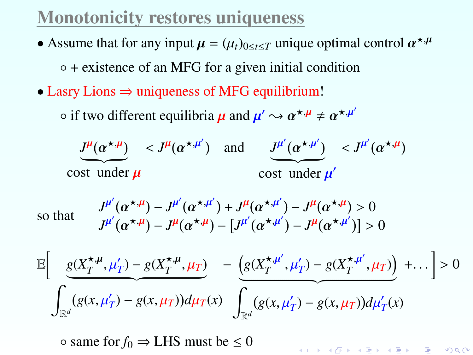- Assume that for any input  $\mu = (\mu_t)_{0 \le t \le T}$  unique optimal control  $\alpha^{*,\mu}$ ◦ + existence of an MFG for a given initial condition
- Lasry Lions  $\Rightarrow$  uniqueness of MFG equilibrium!

 $\circ$  if two different equilibria  $\mu$  and  $\mu' \leadsto \alpha^{\star,\mu} \neq \alpha^{\star,\mu'}$ 

$$
\underbrace{J^{\mu}(\alpha^{\star,\mu})}_{\text{cost under }\mu} < J^{\mu}(\alpha^{\star,\mu'}) \quad \text{and} \quad \underbrace{J^{\mu'}(\alpha^{\star,\mu'})}_{\text{cost under }\mu'} < J^{\mu'}(\alpha^{\star,\mu})
$$

 $\left( \alpha^{\star,\mu'} \right) + J^{\mu}$ <br> $\left( \alpha^{\star,\mu} \right)$   $\left[ J^{\mu'} \right]$ 

so that *<sup>J</sup>*

 $^{\mu'}($ 

so that  
\n
$$
\int_{J^{\mu}}^{J^{\mu}} (\alpha^{*,\mu}) - J^{\mu} (\alpha^{*,\mu}) + J^{\mu} (\alpha^{*,\mu}) - J^{\mu} (\alpha^{*,\mu}) > 0
$$
\n
$$
J^{\mu'} (\alpha^{*,\mu}) - J^{\mu} (\alpha^{*,\mu}) - [J^{\mu'} (\alpha^{*,\mu'}) - J^{\mu} (\alpha^{*,\mu'})] > 0
$$
\n
$$
\mathbb{E} \left[ \frac{g(X_T^{*,\mu}, \mu_T') - g(X_T^{*,\mu}, \mu_T)}{g(X_T^{*,\mu}, \mu_T) - g(X_T^{*,\mu'}, \mu_T) - g(X_T^{*,\mu'}, \mu_T)} + \dots \right] > 0
$$
\n
$$
\int_{\mathbb{R}^d} (g(x, \mu_T') - g(x, \mu_T)) d\mu_T(x) \int_{\mathbb{R}^d} (g(x, \mu_T') - g(x, \mu_T)) d\mu_T'(x)
$$

 $\alpha^{\star,\mu'}$ ) –  $J^{\mu}$ (<br> $\alpha^{\star,\mu'}$ ) –  $J^{\mu}$ (

K ロ ▶ K @ ▶ K 할 ▶ K 할 ▶ → 할 → 9 Q @

 $\circ$  same for  $f_0 \Rightarrow$  LHS must be  $\leq 0$ 

 $\alpha^{\star,\mu}$ ) –  $J^{\mu'}$ (<br> $\alpha^{\star,\mu}$ ) –  $J^{\mu'}$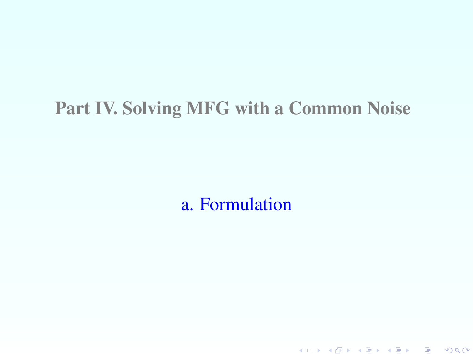#### Part IV. Solving MFG with a Common Noise

<span id="page-76-0"></span>a. Formulation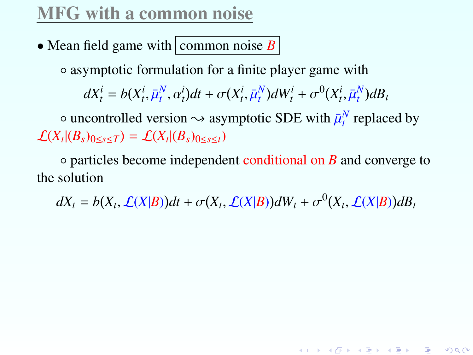## MFG with a common noise

• Mean field game with common noise  $B$ 

◦ asymptotic formulation for a finite player game with

 $dX_t^i = b(X_t^i, \bar{\mu}_t^N, \alpha_t^i)dt + \sigma(X_t^i, \bar{\mu}_t^N)dW_t^i + \sigma^0(X_t^i, \bar{\mu}_t^N)dB_t$ 

 $\circ$  uncontrolled version  $\sim$  asymptotic SDE with  $\bar{\mu}_t^N$  replaced by  $\mathcal{L}(X_t | (B_s)_{0 \le s \le T}) = \mathcal{L}(X_t | (B_s)_{0 \le s \le t})$ 

◦ particles become independent conditional on *B* and converge to the solution

<span id="page-77-0"></span> $dX_t = b(X_t, \mathcal{L}(X|B))dt + \sigma(X_t, \mathcal{L}(X|B))dW_t + \sigma^0(X_t, \mathcal{L}(X|B))dB_t$ 

K ロ ▶ K @ ▶ K 할 ▶ K 할 ▶ 이 할 → 900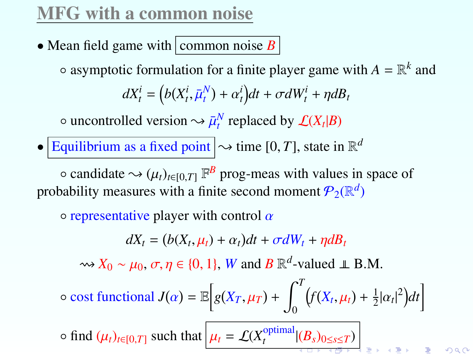# MFG with a common noise

• Mean field game with common noise  $B$ 

 $\circ$  asymptotic formulation for a finite player game with  $A = \mathbb{R}^k$  and

 $dX_t^i = (b(X_t^i, \bar{\mu}_t^N) + \alpha_t^i)dt + \sigma dW_t^i + \eta dB_t$ 

 $\sim \bar{\mu}_t^N$  replaced by  $\mathcal{L}(X_t|B)$ 

• Equilibrium as a fixed point  $\sim$  time [0, *T*], state in  $\mathbb{R}^d$ 

 $\circ$  candidate  $\sim$  ( $\mu_t$ )<sub>*t*∈[0,*T*]</sub>  $\mathbb{F}^B$  prog-meas with values in space of vability measures with a finite second moment  $\mathcal{P}_\text{A}(\mathbb{R}^d)$ probability measures with a finite second moment  $P_2(\mathbb{R}^d)$ 

 $\circ$  representative player with control  $\alpha$ 

$$
dX_t = (b(X_t, \mu_t) + \alpha_t)dt + \sigma dW_t + \eta dB_t
$$

 $\rightsquigarrow$  *X*<sub>0</sub> ~  $\mu$ <sub>0</sub>,  $\sigma$ ,  $\eta \in \{0, 1\}$ , *W* and *B*  $\mathbb{R}^d$ -valued  $\perp \mathbb{R}$  B.M.

$$
\circ \text{ cost functional } J(\alpha) = \mathbb{E}\Big[g(X_T,\mu_T) + \int_0^T \big(f(X_t,\mu_t) + \frac{1}{2}|\alpha_t|^2\big)dt\Big]
$$

 $\circ$  find  $(\mu_t)_{t \in [0,T]}$  such that  $\mu_t = \mathcal{L}(X_t^{\text{optimal}})$  $\sum_{t}^{\text{optimal}} |(B_s)_{0 \leq s \leq T})$  $\sum_{t}^{\text{optimal}} |(B_s)_{0 \leq s \leq T})$  $\sum_{t}^{\text{optimal}} |(B_s)_{0 \leq s \leq T})$  $\sum_{t}^{\text{optimal}} |(B_s)_{0 \leq s \leq T})$  $\sum_{t}^{\text{optimal}} |(B_s)_{0 \leq s \leq T})$  $\sum_{t}^{\text{optimal}} |(B_s)_{0 \leq s \leq T})$  $\sum_{t}^{\text{optimal}} |(B_s)_{0 \leq s \leq T})$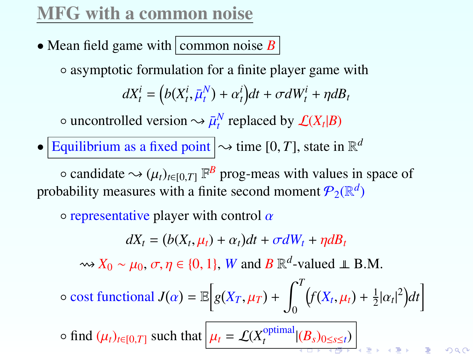# MFG with a common noise

• Mean field game with common noise  $B$ 

◦ asymptotic formulation for a finite player game with

 $dX_t^i = (b(X_t^i, \bar{\mu}_t^N) + \alpha_t^i)dt + \sigma dW_t^i + \eta dB_t$ 

 $\sim \bar{\mu}_t^N$  replaced by  $\mathcal{L}(X_t|B)$ 

• Equilibrium as a fixed point  $\sim$  time [0, *T*], state in  $\mathbb{R}^d$ 

 $\circ$  candidate  $\sim$  ( $\mu_t$ )<sub>*t*∈[0,*T*]</sub>  $\mathbb{F}^B$  prog-meas with values in space of vability measures with a finite second moment  $\mathcal{P}_\text{A}(\mathbb{R}^d)$ probability measures with a finite second moment  $P_2(\mathbb{R}^d)$ 

 $\circ$  representative player with control  $\alpha$ 

$$
dX_t = (b(X_t, \mu_t) + \alpha_t)dt + \sigma dW_t + \eta dB_t
$$

 $\rightsquigarrow$  *X*<sub>0</sub> ~  $\mu$ <sub>0</sub>,  $\sigma$ ,  $\eta \in \{0, 1\}$ , *W* and *B*  $\mathbb{R}^d$ -valued  $\perp \mathbb{R}$  B.M.

$$
\circ \text{ cost functional } J(\alpha) = \mathbb{E}\Big[g(X_T,\mu_T) + \int_0^T \bigl(f(X_t,\mu_t) + \frac{1}{2}|\alpha_t|^2\bigr)dt\Big]
$$

<span id="page-79-0"></span> $\circ$  find  $(\mu_t)_{t \in [0,T]}$  such that  $\mu_t = \mathcal{L}(X_t^{\text{optimal}})$  $\sum_{t}^{\text{optimal}} |(B_s)_{0 \leq s \leq t})$  $\sum_{t}^{\text{optimal}} |(B_s)_{0 \leq s \leq t})$  $\sum_{t}^{\text{optimal}} |(B_s)_{0 \leq s \leq t})$  $\sum_{t}^{\text{optimal}} |(B_s)_{0 \leq s \leq t})$  $\sum_{t}^{\text{optimal}} |(B_s)_{0 \leq s \leq t})$  $\sum_{t}^{\text{optimal}} |(B_s)_{0 \leq s \leq t})$  $\sum_{t}^{\text{optimal}} |(B_s)_{0 \leq s \leq t})$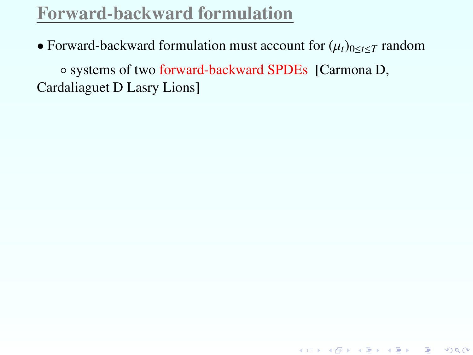• Forward-backward formulation must account for  $(\mu_t)_{0 \le t \le T}$  random

<span id="page-80-0"></span>K ロ ▶ K @ ▶ K 할 ▶ K 할 ▶ 이 할 → 900

◦ systems of two forward-backward SPDEs [Carmona D, Cardaliaguet D Lasry Lions]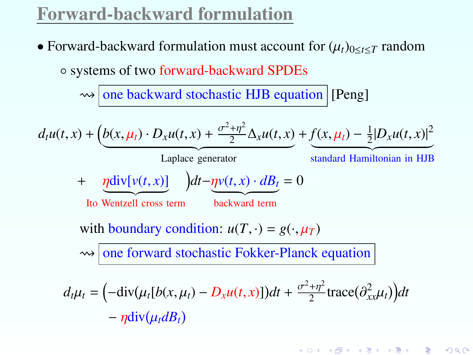$-\eta \text{div}(\mu_t dB_t)$ 

• Forward-backward formulation must account for  $(\mu_t)_{0 \le t \le T}$  random ◦ systems of two forward-backward SPDEs

 $\rightarrow$  one backward stochastic HJB equation [Peng]

$$
d_t u(t, x) + \left(b(x, \mu_t) \cdot D_x u(t, x) + \frac{\sigma^2 + \eta^2}{2} \Delta_x u(t, x)\right) + \underbrace{f(x, \mu_t) - \frac{1}{2} |D_x u(t, x)|^2}_{\text{Laplace generator}}
$$
  
+ 
$$
\underbrace{\eta \text{div}[v(t, x)]}_{\text{Ito Wentzell cross term}} dt - \underbrace{\eta v(t, x) \cdot dB_t}_{\text{backward term}} = 0
$$
  
with boundary condition: 
$$
u(T, \cdot) = g(\cdot, \mu_T)
$$

$$
\Leftrightarrow \text{one forward stochastic Fokker-Planck equation}
$$

$$
d_t \mu_t = \left(-\text{div}(\mu_t [b(x, \mu_t) - D_x u(t, x)])dt + \frac{\sigma^2 + \eta^2}{2}\text{trace}(\partial_{xx}^2 \mu_t)\right)dt
$$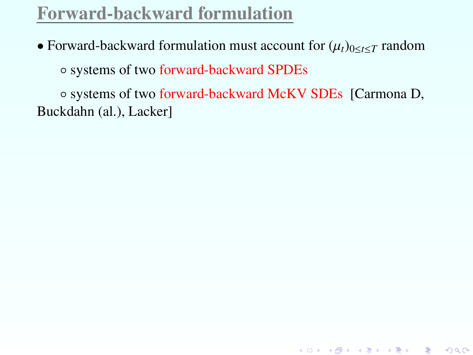• Forward-backward formulation must account for  $(\mu_t)_{0 \le t \le T}$  random

◦ systems of two forward-backward SPDEs

◦ systems of two forward-backward McKV SDEs [Carmona D, Buckdahn (al.), Lacker]

K ロ ▶ K @ ▶ K 할 ▶ K 할 ▶ ① 할 → ① 익단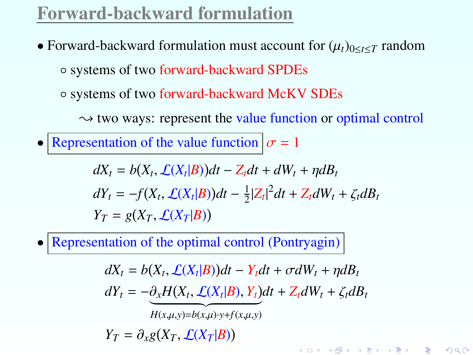- Forward-backward formulation must account for  $(\mu_t)_{0 \le t \le T}$  random ◦ systems of two forward-backward SPDEs
	- systems of two forward-backward McKV SDEs

 $\rightarrow$  two ways: represent the value function or optimal control

• Representation of the value function  $\sigma = 1$ 

 $dX_t = b(X_t, \mathcal{L}(X_t|B))dt - Z_t dt + dW_t + \eta dB_t$  $dY_t = -f(X_t, \mathcal{L}(X_t|B))dt - \frac{1}{2}$  $\frac{1}{2}|Z_t|^2 dt + Z_t dW_t + \zeta_t dB_t$  $Y_T = g(X_T, \mathcal{L}(X_T|B))$ 

• Representation of the optimal control (Pontryagin)

 $dX_t = b(X_t, \mathcal{L}(X_t|B))dt - Y_t dt + \sigma dW_t + \eta dB_t$ 

 $dY_t = -\partial_x H(X_t, \mathcal{L}(X_t|B), Y_t)dt + Z_t dW_t + \zeta_t dB_t$ 

K ロ ▶ K @ ▶ K 할 ▶ K 할 ▶ 이 할 → 90 Q ^

 $H(x, \mu, y) = b(x, \mu) \cdot y + f(x, \mu, y)$ 

 $Y_T = \partial_x g(X_T, \mathcal{L}(X_T | B))$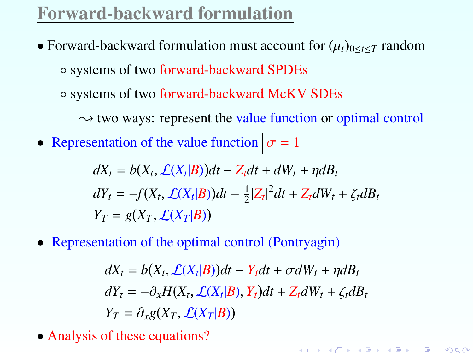- Forward-backward formulation must account for  $(\mu_t)_{0 \le t \le T}$  random ◦ systems of two forward-backward SPDEs
	- systems of two forward-backward McKV SDEs

 $\rightarrow$  two ways: represent the value function or optimal control

• Representation of the value function  $\sigma = 1$ 

 $dX_t = b(X_t, \mathcal{L}(X_t|B))dt - Z_t dt + dW_t + \eta dB_t$  $dY_t = -f(X_t, \mathcal{L}(X_t|B))dt - \frac{1}{2}$  $\frac{1}{2}|Z_t|^2 dt + Z_t dW_t + \zeta_t dB_t$  $Y_T = g(X_T, \mathcal{L}(X_T|B))$ 

• Representation of the optimal control (Pontryagin)

 $dX_t = b(X_t, \mathcal{L}(X_t|B))dt - Y_t dt + \sigma dW_t + \eta dB_t$  $dY_t = -\partial_x H(X_t, \mathcal{L}(X_t|B), Y_t) dt + Z_t dW_t + \zeta_t dB_t$  $Y_T = \partial_x g(X_T, \mathcal{L}(X_T | B))$ 

K ロ ▶ K @ ▶ K 할 ▶ K 할 ▶ 이 할 → 90 Q ^

• Analysis of these equations?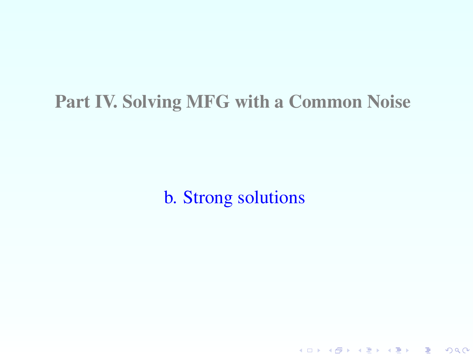#### Part IV. Solving MFG with a Common Noise

b. Strong solutions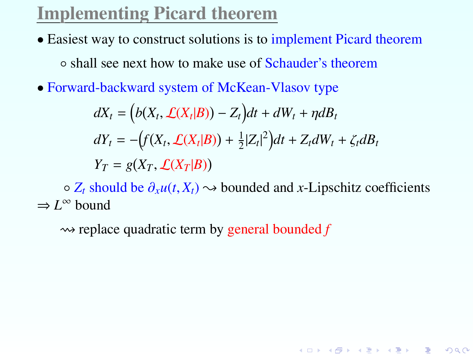# Implementing Picard theorem

- Easiest way to construct solutions is to implement Picard theorem ◦ shall see next how to make use of Schauder's theorem
- Forward-backward system of McKean-Vlasov type

$$
dX_t = (b(X_t, \mathcal{L}(X_t|B)) - Z_t)dt + dW_t + \eta dB_t
$$
  
\n
$$
dY_t = -\left(f(X_t, \mathcal{L}(X_t|B)) + \frac{1}{2}|Z_t|^2\right)dt + Z_t dW_t + \zeta_t dB_t
$$
  
\n
$$
Y_T = g(X_T, \mathcal{L}(X_T|B))
$$

◦ *<sup>Z</sup><sup>t</sup>* should be <sup>∂</sup>*xu*(*t*, *<sup>X</sup>t*) { bounded and *<sup>x</sup>*-Lipschitz coefficients  $\Rightarrow$  *L*<sup>∞</sup> bound

K ロ ▶ K @ ▶ K 할 ▶ K 할 ▶ ① 할 → ① 익단

 $\rightarrow$  replace quadratic term by general bounded  $f$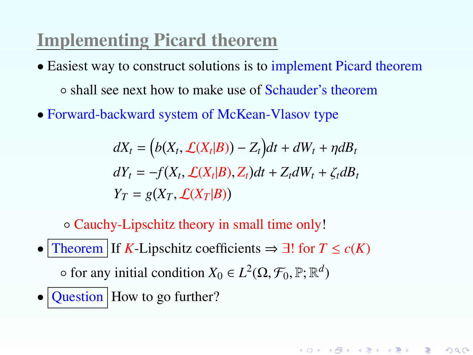# Implementing Picard theorem

- Easiest way to construct solutions is to implement Picard theorem ◦ shall see next how to make use of Schauder's theorem
- Forward-backward system of McKean-Vlasov type

$$
dX_t = (b(X_t, \mathcal{L}(X_t|B)) - Z_t)dt + dW_t + \eta dB_t
$$
  
\n
$$
dY_t = -f(X_t, \mathcal{L}(X_t|B), Z_t)dt + Z_t dW_t + \zeta_t dB_t
$$
  
\n
$$
Y_T = g(X_T, \mathcal{L}(X_T|B))
$$

K ロ ▶ K @ ▶ K 할 ▶ K 할 ▶ ① 할 → ① 익C\*

◦ Cauchy-Lipschitz theory in small time only!

- Theorem If *K*-Lipschitz coefficients  $\Rightarrow \exists!$  for  $T \leq c(K)$  $\circ$  for any initial condition  $X_0 \in L^2(\Omega, \mathcal{F}_0, \mathbb{P}; \mathbb{R}^d)$
- <span id="page-87-0"></span> $\bullet$  Question How to go further?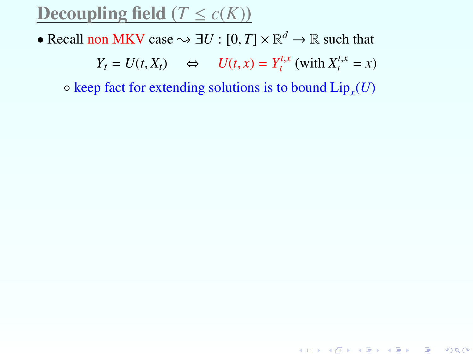## Decoupling field  $(T \le c(K))$

• Recall non MKV case  $\rightsquigarrow \exists U : [0, T] \times \mathbb{R}^d \rightarrow \mathbb{R}$  such that

$$
Y_t = U(t, X_t) \quad \Leftrightarrow \quad U(t, x) = Y_t^{t, x} \text{ (with } X_t^{t, x} = x)
$$

<span id="page-88-0"></span>

◦ keep fact for extending solutions is to bound Lip*<sup>x</sup>* (*U*)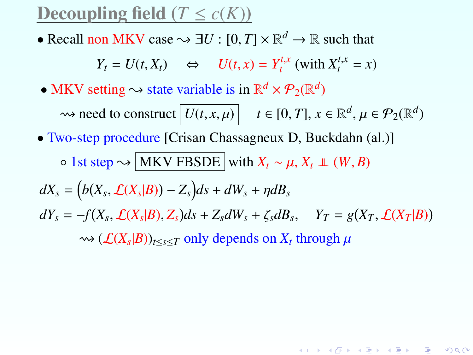### Decoupling field  $(T \leq c(K))$

• Recall non MKV case  $\rightsquigarrow \exists U : [0, T] \times \mathbb{R}^d \rightarrow \mathbb{R}$  such that

$$
Y_t = U(t, X_t) \quad \Leftrightarrow \quad U(t, x) = Y_t^{t, x} \text{ (with } X_t^{t, x} = x)
$$

• MKV setting  $\sim$  state variable is in  $\mathbb{R}^d \times \mathcal{P}_2(\mathbb{R}^d)$ 

 $\rightsquigarrow$  need to construct  $\boxed{U(t, x, \mu)}$   $t \in [0, T]$ ,  $x \in \mathbb{R}^d$ ,  $\mu \in \mathcal{P}_2(\mathbb{R}^d)$ • Two-step procedure [Crisan Chassagneux D, Buckdahn (al.)]  $\circ$  1st step  $\sim$  MKV FBSDE with *X<sub>t</sub>* ∼  $\mu$ , *X<sub>t</sub>* ⊥ (*W*, *B*)  $dX_s = (b(X_s, \mathcal{L}(X_s|B)) - Z_s)ds + dW_s + \eta dB_s$  $dY_s = -f(X_s, \mathcal{L}(X_s|B), Z_s)ds + Z_s dW_s + \zeta_s dB_s, \quad Y_T = g(X_T, \mathcal{L}(X_T|B))$  $\rightsquigarrow$  ( $\mathcal{L}(X_s|B)$ )<sub>*t*≤*s*≤*T* only depends on *X<sub>t</sub>* through  $\mu$ </sub>

K ロ ▶ K @ ▶ K 할 ▶ K 할 ▶ 이 할 → 900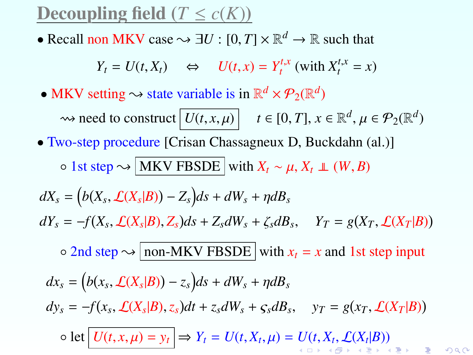## Decoupling field  $(T \leq c(K))$

• Recall non MKV case  $\rightsquigarrow \exists U : [0, T] \times \mathbb{R}^d \rightarrow \mathbb{R}$  such that

$$
Y_t = U(t, X_t) \quad \Leftrightarrow \quad U(t, x) = Y_t^{t, x} \text{ (with } X_t^{t, x} = x)
$$

• MKV setting  $\sim$  state variable is in  $\mathbb{R}^d \times \mathcal{P}_2(\mathbb{R}^d)$ 

 $\rightsquigarrow$  need to construct  $\boxed{U(t, x, \mu)}$   $t \in [0, T]$ ,  $x \in \mathbb{R}^d$ ,  $\mu \in \mathcal{P}_2(\mathbb{R}^d)$ 

• Two-step procedure [Crisan Chassagneux D, Buckdahn (al.)]

 $\circ$  1st step  $\rightsquigarrow$  MKV FBSDE with *X<sub>t</sub>* ∼  $\mu$ , *X<sub>t</sub>* ⊥ (*W*, *B*)

 $dX_s = (b(X_s, \mathcal{L}(X_s|B)) - Z_s)ds + dW_s + \eta dB_s$ 

 $dY_s = -f(X_s, \mathcal{L}(X_s|B), Z_s)ds + Z_s dW_s + \zeta_s dB_s, \quad Y_T = g(X_T, \mathcal{L}(X_T|B))$ 

 $\circ$  2nd step  $\rightsquigarrow$  non-MKV FBSDE with  $x_t = x$  and 1st step input

<span id="page-90-0"></span>
$$
dx_s = (b(x_s, \mathcal{L}(X_s|B)) - z_s)ds + dW_s + \eta dB_s
$$
  
\n
$$
dy_s = -f(x_s, \mathcal{L}(X_s|B), z_s)dt + z_s dW_s + \varsigma_s dB_s, \quad y_T = g(x_T, \mathcal{L}(X_T|B))
$$
  
\n
$$
\circ \text{ let } \boxed{U(t, x, \mu) = y_t} \Rightarrow Y_t = U(t, X_t, \mu) = U(t, X_t, \mathcal{L}(X_t|B))
$$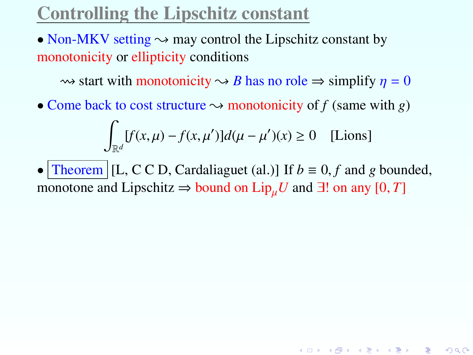# Controlling the Lipschitz constant

• Non-MKV setting  $\sim$  may control the Lipschitz constant by monotonicity or ellipticity conditions

 $\rightsquigarrow$  start with monotonicity  $\rightsquigarrow$  *B* has no role  $\Rightarrow$  simplify  $\eta = 0$ 

• Come back to cost structure  $\sim$  monotonicity of f (same with *g*)

$$
\int_{\mathbb{R}^d} [f(x,\mu) - f(x,\mu')]d(\mu - \mu')(x) \ge 0 \quad \text{[Lions]}
$$

<span id="page-91-0"></span>• Theorem [L, C C D, Cardaliaguet (al.)] If  $b \equiv 0, f$  and g bounded, monotone and Lipschitz  $\Rightarrow$  bound on Lip<sub>µ</sub>U and ∃! on any [0, T]

K ロ ▶ K @ ▶ K 할 ▶ K 할 ▶ ① 할 → ① 익C\*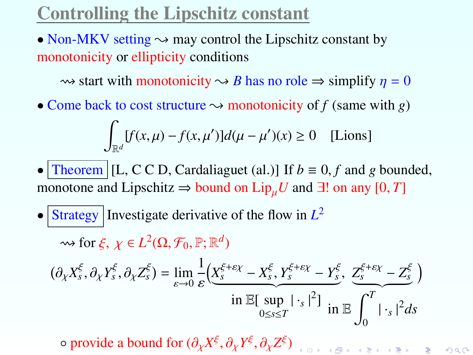# Controlling the Lipschitz constant

• Non-MKV setting  $\sim$  may control the Lipschitz constant by monotonicity or ellipticity conditions

 $\rightsquigarrow$  start with monotonicity  $\rightsquigarrow$  *B* has no role  $\Rightarrow$  simplify  $\eta = 0$ 

• Come back to cost structure  $\sim$  monotonicity of *f* (same with *g*)

$$
\int_{\mathbb{R}^d} [f(x,\mu) - f(x,\mu')]d(\mu - \mu')(x) \ge 0 \quad \text{[Lions]}
$$

• Theorem [L, C C D, Cardaliaguet (al.)] If  $b \equiv 0, f$  and g bounded, monotone and Lipschitz  $\Rightarrow$  bound on Lip<sub>µ</sub>*U* and ∃! on any [0, *T*]

• Strategy Investigate derivative of the flow in  $L^2$ 

 $\rightsquigarrow$  for  $\xi$ ,  $\chi \in L^2(\Omega, \mathcal{F}_0, \mathbb{P}; \mathbb{R}^d)$ 

$$
(\partial_{\chi} X_{s}^{\xi}, \partial_{\chi} Y_{s}^{\xi}, \partial_{\chi} Z_{s}^{\xi}) = \lim_{\varepsilon \to 0} \frac{1}{\varepsilon} \Big( \underbrace{X_{s}^{\xi + \varepsilon \chi} - X_{s}^{\xi}}_{\text{in } \mathbb{E}[\sup_{0 \le s \le T} |\cdot_{s}|^{2}] } + \frac{Z_{s}^{\xi + \varepsilon \chi} - Z_{s}^{\xi}}_{0} \Big)
$$

 $\circ$  provide a bound for  $(\partial_\chi X^\xi, \partial_\chi Y^\xi, \partial_\chi Z^\xi)$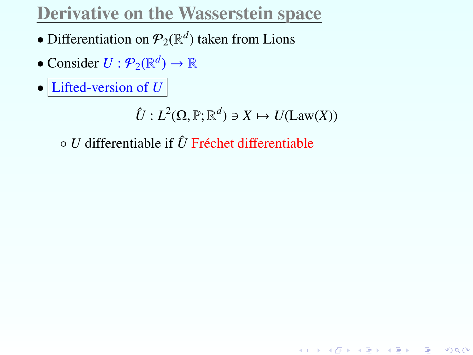# Derivative on the Wasserstein space

- Differentiation on  $\mathcal{P}_2(\mathbb{R}^d)$  taken from Lions
- Consider  $U: \mathcal{P}_2(\mathbb{R}^d) \to \mathbb{R}$
- Lifted-version of *U*

 $\hat{U}: L^2(\Omega, \mathbb{P}; \mathbb{R}^d) \ni X \mapsto U(\text{Law}(X))$ 

◦ *U* differentiable if *U*ˆ Fréchet differentiable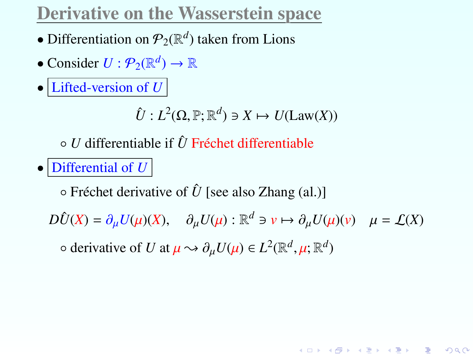# Derivative on the Wasserstein space

- Differentiation on  $\mathcal{P}_2(\mathbb{R}^d)$  taken from Lions
- Consider  $U: \mathcal{P}_2(\mathbb{R}^d) \to \mathbb{R}$
- Lifted-version of *U*

 $\hat{U}: L^2(\Omega, \mathbb{P}; \mathbb{R}^d) \ni X \mapsto U(\text{Law}(X))$ 

◦ *U* differentiable if *U*ˆ Fréchet differentiable

• Differential of *U* 

◦ Fréchet derivative of *U*ˆ [see also Zhang (al.)]

 $D\hat{U}(X) = \partial_{\mu}U(\mu)(X), \quad \partial_{\mu}U(\mu) : \mathbb{R}^d \ni \nu \mapsto \partial_{\mu}U(\mu)(\nu) \quad \mu = \mathcal{L}(X)$ 

K ロ ▶ K @ ▶ K 할 ▶ K 할 ▶ → 할 → 9 Q @

 $\circ$  derivative of *U* at  $\mu \rightsquigarrow \partial_{\mu} U(\mu) \in L^2(\mathbb{R}^d, \mu; \mathbb{R}^d)$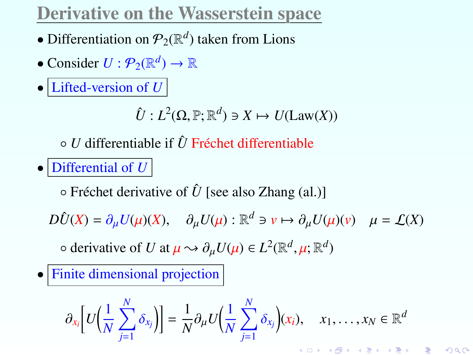# Derivative on the Wasserstein space

- Differentiation on  $\mathcal{P}_2(\mathbb{R}^d)$  taken from Lions
- Consider  $U: \mathcal{P}_2(\mathbb{R}^d) \to \mathbb{R}$
- Lifted-version of *U*

 $\hat{U}: L^2(\Omega, \mathbb{P}; \mathbb{R}^d) \ni X \mapsto U(\text{Law}(X))$ 

◦ *U* differentiable if *U*ˆ Fréchet differentiable

• Differential of  $U$ 

◦ Fréchet derivative of *U*ˆ [see also Zhang (al.)]

 $D\hat{U}(X) = \partial_{\mu}U(\mu)(X), \quad \partial_{\mu}U(\mu) : \mathbb{R}^d \ni \nu \mapsto \partial_{\mu}U(\mu)(\nu) \quad \mu = \mathcal{L}(X)$ 

 $\circ$  derivative of *U* at  $\mu \rightsquigarrow \partial_{\mu} U(\mu) \in L^2(\mathbb{R}^d, \mu; \mathbb{R}^d)$ 

• Finite dimensional projection

$$
\partial_{x_i}\Big[U\Big(\frac{1}{N}\sum_{j=1}^N\delta_{x_j}\Big)\Big]=\frac{1}{N}\partial_\mu U\Big(\frac{1}{N}\sum_{j=1}^N\delta_{x_j}\Big)(x_i),\quad x_1,\ldots,x_N\in\mathbb{R}^d\\ \text{where }x_1,\ldots,x_N\in\mathbb{R}^d\text{ and }x_1,\ldots,x_N\in\mathbb{R}^d\text{ and }x_2,\ldots,x_N\in\mathbb{R}^d\text{ and }x_1,\ldots,x_N\in\mathbb{R}^d\text{ and }x_2,\ldots,x_N\in\mathbb{R}^d\text{ and }x_1,\ldots,x_N\in\mathbb{R}^d\text{ and }x_1,\ldots,x_N\in\mathbb{R}^d\text{ and }x_1,\ldots,x_N\in\mathbb{R}^d\text{ and }x_1,\ldots,x_N\in\mathbb{R}^d\text{ and }x_1,\ldots,x_N\in\mathbb{R}^d\text{ and }x_1,\ldots,x_N\in\mathbb{R}^d\text{ and }x_1,\ldots,x_N\in\mathbb{R}^d\text{ and }x_1,\ldots,x_N\in\mathbb{R}^d\text{ and }x_1,\ldots,x_N\in\mathbb{R}^d\text{ and }x_1,\ldots,x_N\in\mathbb{R}^d\text{ and }x_1,\ldots,x_N\in\mathbb{R}^d\text{ and }x_1,\ldots,x_N\in\mathbb{R}^d\text{ and }x_1,\ldots,x_N\in\mathbb{R}^d\text{ and }x_1,\ldots,x_N\in\mathbb{R}^d\text{ and }x_1,\ldots,x_N\in\mathbb{R}^d\text{ and }x_1,\ldots,x_N\in\mathbb{R}^d\text{ and }x_1,\ldots,x_N\in\mathbb{R}^d\text{ and }x_1,\ldots,x_N\in\mathbb{R}^d\text{ and }x_1,\ldots,x_N\in\mathbb{R}^d\text{ and }x_1,\ldots,x_N\in\mathbb{R}^d\text{ and }x_1,\ldots,x_N\in\mathbb{R}^d\text{ and }x_1,\ldots,x_N\in\mathbb{R}^d\text{ and }x_1,\ldots,x_N\in\mathbb{R}^d\text{ and }x_1,\ldots,x_N\in\mathbb{R}
$$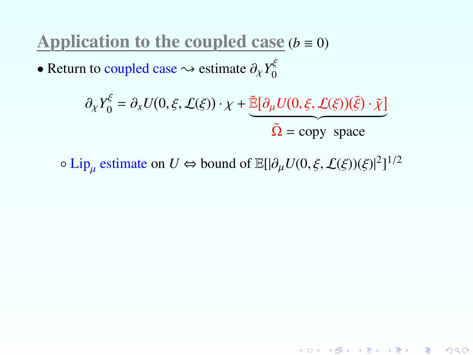Application to the coupled case  $(b \equiv 0)$ 

• Return to coupled case  $\sim$  estimate  $\partial_{\chi} Y_0^{\xi}$ 

$$
\partial_{\chi} Y_0^{\xi} = \partial_{x} U(0, \xi, \mathcal{L}(\xi)) \cdot \chi + \underbrace{\tilde{\mathbb{E}}[\partial_{\mu} U(0, \xi, \mathcal{L}(\xi))(\tilde{\xi}) \cdot \tilde{\chi}]}_{\tilde{\Omega} = \text{copy space}}
$$

 $\circ$  Lip<sub>µ</sub> estimate on *U* ⇔ bound of  $\mathbb{E}[|\partial_{\mu}U(0,\xi,\mathcal{L}(\xi))(\xi)|^2]^{1/2}$ µ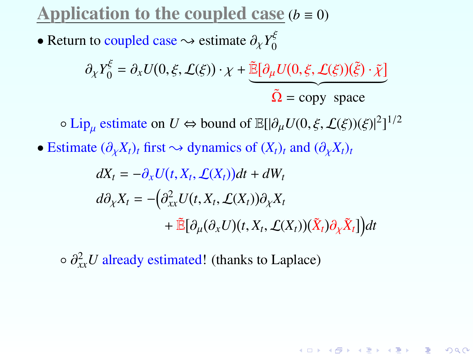Application to the coupled case  $(b = 0)$ 

• Return to coupled case  $\rightsquigarrow$  estimate  $\partial_{\chi} Y_0^{\xi}$ 

$$
\partial_{\chi} Y_0^{\xi} = \partial_{x} U(0, \xi, \mathcal{L}(\xi)) \cdot \chi + \underbrace{\tilde{\mathbb{E}}[\partial_{\mu} U(0, \xi, \mathcal{L}(\xi))(\tilde{\xi}) \cdot \tilde{\chi}]}_{\tilde{\Omega} = \text{copy space}}
$$

 $\circ$  Lip<sub>µ</sub> estimate on *U* ⇔ bound of  $\mathbb{E}[|\partial_{\mu}U(0,\xi,\mathcal{L}(\xi))(\xi)|^2]^{1/2}$ 

• Estimate  $(\partial_X X_t)_t$  first  $\sim$  dynamics of  $(X_t)_t$  and  $(\partial_X X_t)_t$ 

$$
dX_t = -\partial_x U(t, X_t, \mathcal{L}(X_t))dt + dW_t
$$
  
\n
$$
d\partial_x X_t = -\left(\partial_{xx}^2 U(t, X_t, \mathcal{L}(X_t))\partial_x X_t + \tilde{\mathbb{E}}[\partial_\mu(\partial_x U)(t, X_t, \mathcal{L}(X_t))(\tilde{X}_t)\partial_x \tilde{X}_t]\right)dt
$$

K ロ ▶ K @ ▶ K 할 ▶ K 할 ▶ ... 할

 $2Q$ 

 $\circ \partial_{xx}^2 U$  already estimated! (thanks to Laplace)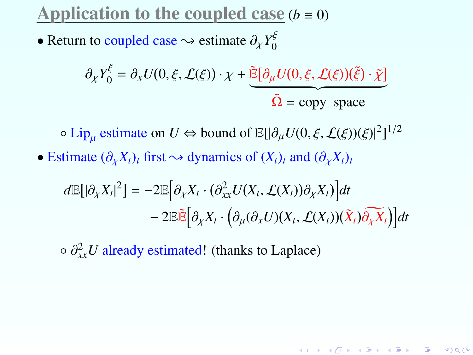Application to the coupled case  $(b = 0)$ 

• Return to coupled case  $\rightsquigarrow$  estimate  $\partial_{\chi} Y_0^{\xi}$ 

$$
\partial_{\chi} Y_0^{\xi} = \partial_{x} U(0, \xi, \mathcal{L}(\xi)) \cdot \chi + \underbrace{\tilde{\mathbb{E}}[\partial_{\mu} U(0, \xi, \mathcal{L}(\xi))(\tilde{\xi}) \cdot \tilde{\chi}]}_{\tilde{\Omega} = \text{copy space}}
$$

**○ Lip<sub>µ</sub> estimate on**  $U \Leftrightarrow$  bound of  $\mathbb{E}[\vert \partial_{\mu}U(0,\xi,\mathcal{L}(\xi))(\xi)\vert^{2}]^{1/2}$ 

• Estimate  $(\partial_{\chi} X_t)_t$  first  $\sim$  dynamics of  $(X_t)_t$  and  $(\partial_{\chi} X_t)_t$ 

$$
d\mathbb{E}[|\partial_X X_t|^2] = -2\mathbb{E}[\partial_X X_t \cdot (\partial_{xx}^2 U(X_t, \mathcal{L}(X_t))\partial_X X_t)]dt - 2\mathbb{E}\tilde{\mathbb{E}}[\partial_X X_t \cdot (\partial_\mu(\partial_x U)(X_t, \mathcal{L}(X_t))(\tilde{X}_t)\partial_X X_t)]dt
$$

K ロ K K @ K K R K X R K ( B K ) R

 $\Omega$ 

 $\circ \partial_{xx}^2 U$  already estimated! (thanks to Laplace)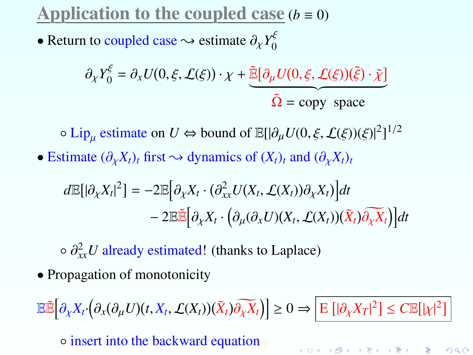Application to the coupled case  $(b = 0)$ 

• Return to coupled case  $\rightsquigarrow$  estimate  $\partial_{\chi} Y_0^{\xi}$ 

$$
\partial_{\chi} Y_0^{\xi} = \partial_{x} U(0, \xi, \mathcal{L}(\xi)) \cdot \chi + \underbrace{\tilde{\mathbb{E}}[\partial_{\mu} U(0, \xi, \mathcal{L}(\xi))(\tilde{\xi}) \cdot \tilde{\chi}]}_{\tilde{\Omega} = \text{copy space}}
$$

**○ Lip<sub>µ</sub> estimate on**  $U \Leftrightarrow$  bound of  $\mathbb{E}[\vert \partial_{\mu}U(0,\xi,\mathcal{L}(\xi))(\xi)\vert^{2}]^{1/2}$ 

• Estimate  $(\partial_{\chi} X_t)_t$  first  $\sim$  dynamics of  $(X_t)_t$  and  $(\partial_{\chi} X_t)_t$ 

$$
d\mathbb{E}[|\partial_X X_t|^2] = -2\mathbb{E}[\partial_X X_t \cdot (\partial_{xx}^2 U(X_t, \mathcal{L}(X_t))\partial_X X_t)]dt - 2\mathbb{E}\tilde{\mathbb{E}}[\partial_X X_t \cdot (\partial_\mu(\partial_x U)(X_t, \mathcal{L}(X_t))(\tilde{X}_t)\partial_X X_t)]dt
$$

 $\circ \partial_{xx}^2 U$  already estimated! (thanks to Laplace)

• Propagation of monotonicity

$$
\mathbb{E}\tilde{\mathbb{E}}\Big[\partial_{\chi}X_t\cdot \Big(\partial_{x}(\partial_{\mu}U)(t,X_t,\mathcal{L}(X_t))(\tilde{X}_t)\widetilde{\partial_{\chi}X_t}\Big)\Big] \geq 0 \Rightarrow \boxed{\mathrm{E}\left[|\partial_{\chi}X_T|^2\right] \leq C \mathbb{E}\big[|\chi|^2\big]}
$$

K ロ ▶ K @ ▶ K 할 ▶ K 할 ▶ → 할 → 9 Q @

◦ insert into the backward equation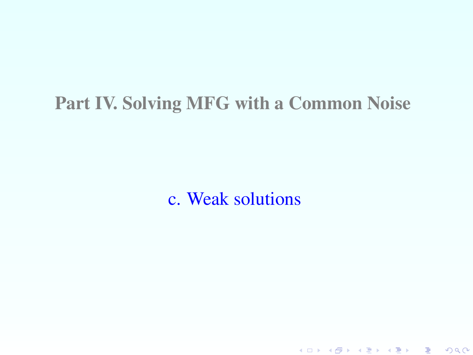## Part IV. Solving MFG with a Common Noise

c. Weak solutions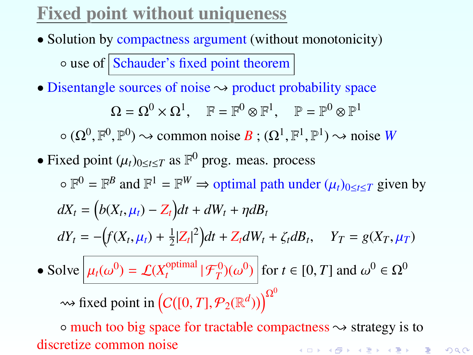# Fixed point without uniqueness

- Solution by compactness argument (without monotonicity)  $\circ$  use of Schauder's fixed point theorem
- Disentangle sources of noise  $\rightarrow$  product probability space

$$
\Omega = \Omega^0 \times \Omega^1, \quad \mathbb{F} = \mathbb{F}^0 \otimes \mathbb{F}^1, \quad \mathbb{P} = \mathbb{P}^0 \otimes \mathbb{P}^1
$$

 $\circ$  ( $\Omega^0$ ,  $\mathbb{F}^0$ ,  $\mathbb{P}^0$ )  $\rightsquigarrow$  common noise *B*; ( $\Omega^1$ ,  $\mathbb{F}^1$ ,  $\mathbb{P}^1$ )  $\rightsquigarrow$  noise *W* 

• Fixed point  $(\mu_t)_{0 \le t \le T}$  as  $\mathbb{F}^0$  prog. meas. process

 $\circ \mathbb{F}^0 = \mathbb{F}^B$  and  $\mathbb{F}^1 = \mathbb{F}^W \Rightarrow$  optimal path under  $(\mu_t)_{0 \le t \le T}$  given by  $dX_t = (b(X_t, \mu_t) - Z_t)dt + dW_t + \eta dB_t$  $dY_t = -\left(f(X_t, \mu_t) + \frac{1}{2}\right)$  $\frac{1}{2}|Z_t|^2\big)dt + Z_t dW_t + \zeta_t dB_t, \quad Y_T = g(X_T, \mu_T)$ • Solve  $\mu_t(\omega^0) = \mathcal{L}(X_t^{\text{optimal}})$  $\frac{\partial \rho_{t}}{\partial t}$  ( $\frac{f^{(0)}(u^{(0)})}{f}$  for  $t \in [0, T]$  and  $\omega^{0} \in \Omega^{0}$ 

 $\rightsquigarrow$  fixed point in  $\left(C([0, T], \mathcal{P}_2(\mathbb{R}^d))\right)^{\Omega^0}$ 

 $\circ$  much too big space for tractable compactness  $\sim$  strategy is to discretize common noiseK ロ ▶ K @ ▶ K 할 ▶ K 할 ▶ → 할 → 9 Q @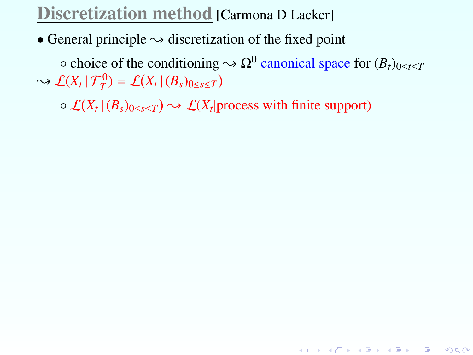#### Discretization method [Carmona D Lacker]

• General principle  $\rightsquigarrow$  discretization of the fixed point

 $\circ$  choice of the conditioning  $\sim \Omega^0$  canonical space for  $(B_t)_{0 \le t \le T}$  $\rightarrow$   $\mathcal{L}(X_t | \mathcal{F}_T^0) = \mathcal{L}(X_t | (B_s)_{0 \le s \le T})$ 

K ロ ▶ K @ ▶ K 할 ▶ K 할 ▶ → 할 → 9 Q @

 $\circ$   $\mathcal{L}(X_t | (B_s)_{0 \le s \le T}) \rightsquigarrow \mathcal{L}(X_t |$  process with finite support)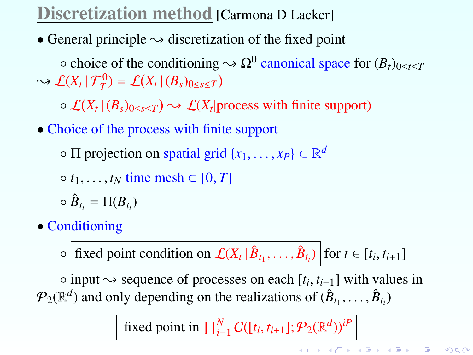# Discretization method [Carmona D Lacker]

• General principle  $\rightsquigarrow$  discretization of the fixed point

 $\circ$  choice of the conditioning  $\sim \Omega^0$  canonical space for  $(B_t)_{0 \le t \le T}$  $\rightarrow$   $\mathcal{L}(X_t | \mathcal{F}_T^0) = \mathcal{L}(X_t | (B_s)_{0 \le s \le T})$ 

 $\circ$   $\mathcal{L}(X_t | (B_s)_{0 \le s \le T}) \rightsquigarrow \mathcal{L}(X_t |$  process with finite support)

• Choice of the process with finite support

 $\circ$   $\Pi$  projection on spatial grid  $\{x_1, \ldots, x_P\} \subset \mathbb{R}^d$ 

 $\circ$  *t*<sub>1</sub>, ..., *t*<sub>N</sub> time mesh  $\subset$  [0, *T*]

- $\circ$   $\hat{B}_{t_i} = \Pi(B_{t_i})$
- Conditioning

 $\circ$  fixed point condition on  $\mathcal{L}(X_t | \hat{B}_{t_1}, \dots, \hat{B}_{t_i})$  for  $t \in [t_i, t_{i+1}]$ 

○ input  $\sim$  sequence of processes on each  $[t_i, t_{i+1}]$  with values in  $\mathbb{R}^d$  and only depending on the realizations of  $(\hat{R} + \hat{R})$  $\mathcal{P}_2(\mathbb{R}^d)$  and only depending on the realizations of  $(\hat{B}_{t_1}, \ldots, \hat{B}_{t_i})$ 

fixed point in  $\prod_{i=1}^{N} C([t_i, t_{i+1}]; P_2(\mathbb{R}^d))^{iP}$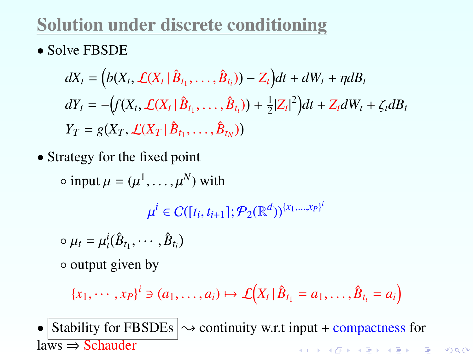# Solution under discrete conditioning

• Solve FBSDE

$$
dX_t = (b(X_t, \mathcal{L}(X_t | \hat{B}_{t_1}, \dots, \hat{B}_{t_i})) - Z_t)dt + dW_t + \eta dB_t
$$
  
\n
$$
dY_t = -\left(f(X_t, \mathcal{L}(X_t | \hat{B}_{t_1}, \dots, \hat{B}_{t_i})) + \frac{1}{2}|Z_t|^2\right)dt + Z_t dW_t + \zeta_t dB_t
$$
  
\n
$$
Y_T = g(X_T, \mathcal{L}(X_T | \hat{B}_{t_1}, \dots, \hat{B}_{t_N}))
$$

• Strategy for the fixed point

 $\circ$  input  $\mu = (\mu^1, \dots, \mu^N)$  with

 $\mathbf{r}$  $P_2(\mathbb{R}^d)$ <sup>{*x*1,...,*xP*</sub>}<sup>*i*</sup></sup>

$$
\circ \mu_t = \mu_t^i(\hat{B}_{t_1}, \cdots, \hat{B}_{t_i})
$$

◦ output given by

$$
\{x_1,\cdots,x_P\}^i\ni(a_1,\ldots,a_i)\mapsto\mathcal{L}\big(X_t\,\big|\,\hat{B}_{t_1}=a_1,\ldots,\hat{B}_{t_i}=a_i\big)
$$

• Stability for FBSDEs  $\sim$  continuity w.r.t input + compactness for laws ⇒ Schauder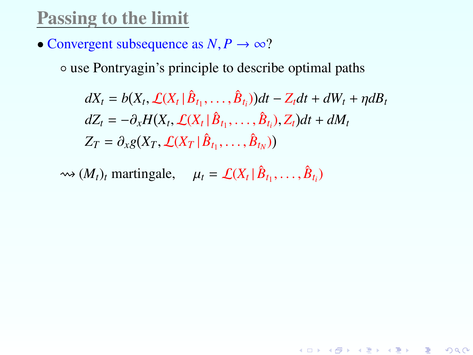#### Passing to the limit

• Convergent subsequence as  $N, P \rightarrow \infty$ ?

◦ use Pontryagin's principle to describe optimal paths

$$
dX_t = b(X_t, \mathcal{L}(X_t | \hat{B}_{t_1}, \dots, \hat{B}_{t_i}))dt - Z_t dt + dW_t + \eta dB_t
$$
  
\n
$$
dZ_t = -\partial_x H(X_t, \mathcal{L}(X_t | \hat{B}_{t_1}, \dots, \hat{B}_{t_i}), Z_t)dt + dM_t
$$
  
\n
$$
Z_T = \partial_x g(X_T, \mathcal{L}(X_T | \hat{B}_{t_1}, \dots, \hat{B}_{t_N}))
$$

K ロ ▶ K @ ▶ K 할 ▶ K 할 ▶ → 할 → 9 Q @

 $\rightsquigarrow$   $(M_t)_t$  martingale,  $\mu_t = \mathcal{L}(X_t | \hat{B}_{t_1}, \dots, \hat{B}_{t_i})$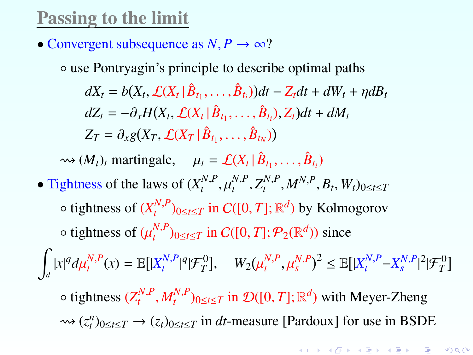#### Passing to the limit

- Convergent subsequence as  $N, P \rightarrow \infty$ ?
	- use Pontryagin's principle to describe optimal paths

 $dX_t = b(X_t, \mathcal{L}(X_t | \hat{B}_{t_1}, \dots, \hat{B}_{t_i})) dt - Z_t dt + dW_t + \eta dB_t$  $dZ_t = -\partial_x H(X_t, \mathcal{L}(X_t | \hat{B}_{t_1}, \dots, \hat{B}_{t_i}), Z_t)dt + dM_t$  $Z_T = \partial_{x} g(X_T, \mathcal{L}(X_T | \hat{B}_{t_1}, \dots, \hat{B}_{t_N}))$ 

 $\rightsquigarrow (M_t)_t$  martingale,  $\mu_t = \mathcal{L}(X_t | \hat{B}_{t_1}, \dots, \hat{B}_{t_i})$ 

• Tightness of the laws of  $(X_t^{N,P}, \mu_t^{N,P}, Z_t^{N,P}, M^{N,P}, B_t, W_t)_{0 \le t \le T}$  $\mathbf{u}$  $\circ$  tightness of  $(X_t^{N,P})_{0 \le t \le T}$  in  $C([0,T]; \mathbb{R}^d)$  by Kolmogorov  $\circ$  tightness of  $(\mu_t^{N,P})_{0 \le t \le T}$  in  $C([0,T]; \mathcal{P}_2(\mathbb{R}^d))$  since

Z  $\mathbb{E}[|X_t^{N,P}(x)| = \mathbb{E}[|X_t^{N,P}|^q | \mathcal{F}_T^0], \quad W_2(x)$  $\mu_t^{N,P}, \mu_s^{N,P})^2 \leq \mathbb{E}[|X_t^{N,P} - X_s^{N,P}|^2 | \mathcal{F}_T^0]$ 

 $\circ$  tightness  $(Z_t^{N,P}, M_t^{N,P})_{0 \le t \le T}$  in  $\mathcal{D}([0,T]; \mathbb{R}^d)$  with Meyer-Zheng  $\rightarrow (z_t^n)_{0 \le t \le T}$  →  $(z_t)_{0 \le t \le T}$  in *dt*-measure [Pardoux] for use in BSDE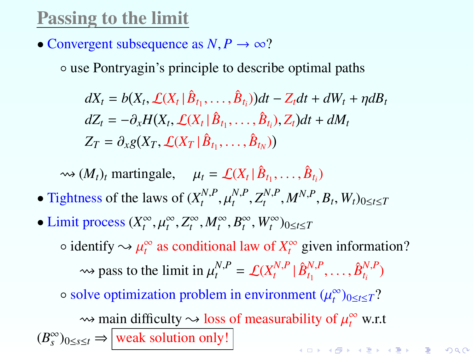#### Passing to the limit

• Convergent subsequence as  $N, P \rightarrow \infty$ ?

◦ use Pontryagin's principle to describe optimal paths

$$
dX_t = b(X_t, \mathcal{L}(X_t | \hat{B}_{t_1}, \dots, \hat{B}_{t_i}))dt - Z_t dt + dW_t + \eta dB_t
$$
  
\n
$$
dZ_t = -\partial_x H(X_t, \mathcal{L}(X_t | \hat{B}_{t_1}, \dots, \hat{B}_{t_i}), Z_t)dt + dM_t
$$
  
\n
$$
Z_T = \partial_x g(X_T, \mathcal{L}(X_T | \hat{B}_{t_1}, \dots, \hat{B}_{t_N}))
$$

 $\rightsquigarrow$   $(M_t)_t$  martingale,  $\mu_t = \mathcal{L}(X_t | \hat{B}_{t_1}, \dots, \hat{B}_{t_i})$ 

- Tightness of the laws of  $(X_t^{N,P}, \mu_t^{N,P}, Z_t^{N,P}, M^{N,P}, B_t, W_t)_{0 \le t \le T}$  $\sum_{i=1}^{n}$
- Limit process  $(X_t^{\infty}, \mu_t^{\infty}, Z_t^{\infty}, M_t^{\infty}, B_t^{\infty}, W_t^{\infty})_{0 \le t \le T}$  $\circ$  identify  $\sim \mu_t^{\infty}$  as conditional law of  $X_t^{\infty}$  given information?  $\rightarrow$  pass to the limit in  $\mu_t^{N,P} = \mathcal{L}(X_t^{N,P} | \hat{B}_{t_1}^{N,P}, \dots, \hat{B}_{t_i}^{N,P})$  $\circ$  solve optimization problem in environment  $(\mu_t^{\infty})_{0 \le t \le T}$ ?  $\rightarrow$  main difficulty  $\rightarrow$  loss of measurability of  $\mu_t^{\infty}$  w.r.t  $(B_s^{\infty})_{0 \le s \le t} \Rightarrow$  weak solution only!

K ロ ▶ K @ ▶ K 할 ▶ K 할 ▶ → 할 → 9 Q @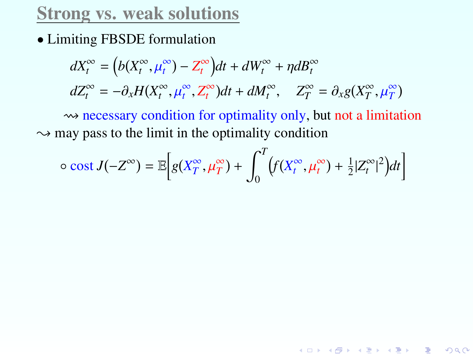• Limiting FBSDE formulation

$$
dX_t^{\infty} = (b(X_t^{\infty}, \mu_t^{\infty}) - Z_t^{\infty})dt + dW_t^{\infty} + \eta dB_t^{\infty}
$$
  

$$
dZ_t^{\infty} = -\partial_x H(X_t^{\infty}, \mu_t^{\infty}, Z_t^{\infty})dt + dM_t^{\infty}, \quad Z_T^{\infty} = \partial_x g(X_T^{\infty}, \mu_T^{\infty})
$$
  

$$
\Leftrightarrow \text{ necessary condition for optimality only, but not a limitation}
$$

 $\rightarrow$  may pass to the limit in the optimality condition

$$
\circ \ \text{cost } J(-Z^{\infty}) = \mathbb{E}\bigg[g(X_T^{\infty}, \mu_T^{\infty}) + \int_0^T \big(f(X_t^{\infty}, \mu_t^{\infty}) + \frac{1}{2}|Z_t^{\infty}|^2\big)dt\bigg]
$$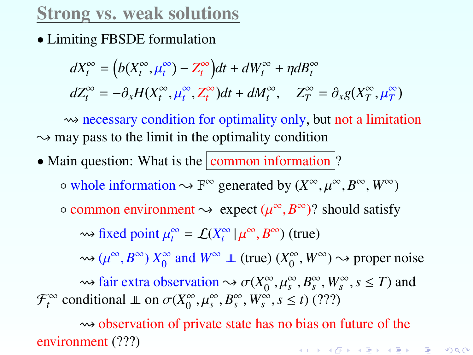• Limiting FBSDE formulation

$$
dX_t^{\infty} = (b(X_t^{\infty}, \mu_t^{\infty}) - Z_t^{\infty})dt + dW_t^{\infty} + \eta dB_t^{\infty}
$$
  

$$
dZ_t^{\infty} = -\partial_x H(X_t^{\infty}, \mu_t^{\infty}, Z_t^{\infty})dt + dM_t^{\infty}, \quad Z_T^{\infty} = \partial_x g(X_T^{\infty}, \mu_T^{\infty})
$$

 $\rightarrow$  necessary condition for optimality only, but not a limitation  $\sim$  may pass to the limit in the optimality condition

• Main question: What is the  $\boxed{\text{common information}}$ ?  $\circ$  whole information  $\leadsto \mathbb{F}^{\infty}$  generated by  $(X^{\infty}, \mu^{\infty}, B^{\infty}, W^{\infty})$  $\circ$  common environment  $\leadsto$  expect  $(\mu^{\infty}, B^{\infty})$ ? should satisfy

 $\rightsquigarrow$  fixed point  $\mu_t^{\infty} = \mathcal{L}(X_t^{\infty} | \mu^{\infty}, B^{\infty})$  (true)

 $\rightsquigarrow$  ( $\mu^{\infty}, B^{\infty}$ )  $X_0^{\infty}$  $\int_0^\infty$  and  $W^\infty \perp (true)$  ( $X_0^\infty$ )  $\int_0^\infty$ ,  $W^\infty$ )  $\rightsquigarrow$  proper noise

 $\rightsquigarrow$  fair extra observation  $\rightsquigarrow \sigma(X_0^{\infty})$ <br>aditional  $\parallel$  on  $\sigma(X^{\infty}, \mu^{\infty}, R^{\infty}, W^{\infty})$  $\int_{0}^{\infty}, \mu_s^{\infty}, B_s^{\infty}, W_s^{\infty}, s \leq T$  and  $\int_{0}^{\infty} s \leq t$  (222)  $\mathcal{F}_t^{\infty}$  conditional  $\perp$  on  $\sigma(X_0^{\infty})$  $\int_0^\infty$ ,  $\mu_s^\infty$ ,  $B_s^\infty$ ,  $W_s^\infty$ ,  $s \le t$ ) (???)

 $\rightarrow$  observation of private state has no bias on future of the environment (???) K ロ ▶ K @ ▶ K 할 ▶ K 할 ▶ 이 할 → 90 Q ^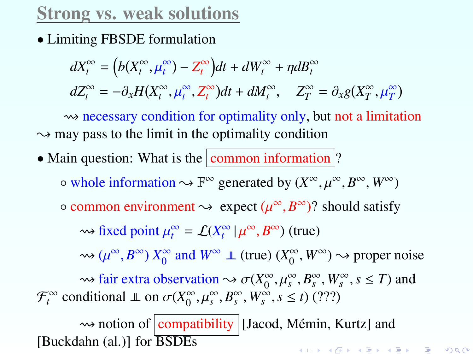• Limiting FBSDE formulation

$$
dX_t^{\infty} = (b(X_t^{\infty}, \mu_t^{\infty}) - Z_t^{\infty})dt + dW_t^{\infty} + \eta dB_t^{\infty}
$$
  

$$
dZ_t^{\infty} = -\partial_x H(X_t^{\infty}, \mu_t^{\infty}, Z_t^{\infty})dt + dM_t^{\infty}, \quad Z_T^{\infty} = \partial_x g(X_T^{\infty}, \mu_T^{\infty})
$$

 $\rightsquigarrow$  necessary condition for optimality only, but not a limitation  $\rightarrow$  may pass to the limit in the optimality condition

• Main question: What is the  $\boxed{\text{common information}}$ ?

 $\circ$  whole information  $\leadsto \mathbb{F}^{\infty}$  generated by  $(X^{\infty}, \mu^{\infty}, B^{\infty}, W^{\infty})$ 

 $\circ$  common environment  $\leadsto$  expect  $(\mu^{\infty}, B^{\infty})$ ? should satisfy

 $\rightsquigarrow$  fixed point  $\mu_t^{\infty} = \mathcal{L}(X_t^{\infty} | \mu^{\infty}, B^{\infty})$  (true)

 $\rightsquigarrow$  ( $\mu^{\infty}, B^{\infty}$ )  $X_0^{\infty}$  $\int_0^\infty$  and  $W^\infty \perp (true)$  ( $X_0^\infty$ )  $\int_{0}^{\infty}$ ,  $W^{\infty}$ )  $\rightarrow$  proper noise

 $\rightsquigarrow$  fair extra observation  $\rightsquigarrow \sigma(X_0^{\infty})$ <br>aditional  $\parallel$  on  $\sigma(X^{\infty}, \mu^{\infty}, R^{\infty}, W^{\infty})$  $\int_{0}^{\infty}, \mu_s^{\infty}, B_s^{\infty}, W_s^{\infty}, s \leq T$  and  $\int_{0}^{\infty} s \leq t$  (222)  $\mathcal{F}_t^{\infty}$  conditional  $\perp$  on  $\sigma(X_0^{\infty})$  $\sum_{0}^{\infty}, \mu_s^{\infty}, B_s^{\infty}, W_s^{\infty}, s \leq t$  (???)

 $\rightarrow$  notion of compatibility [Jacod, Mémin, Kurtz] and [Buckdahn (al.)] for BSDEsK ロ ▶ K @ ▶ K 할 ▶ K 할 ▶ 이 할 → 900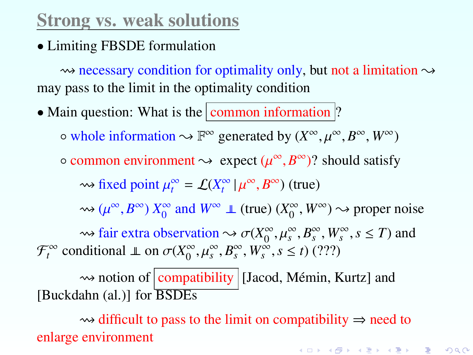• Limiting FBSDE formulation

 $\rightsquigarrow$  necessary condition for optimality only, but not a limitation  $\rightsquigarrow$ may pass to the limit in the optimality condition

• Main question: What is the  $\boxed{\text{common information}}$ ?  $\circ$  whole information  $\leadsto \mathbb{F}^{\infty}$  generated by  $(X^{\infty}, \mu^{\infty}, B^{\infty}, W^{\infty})$  $\circ$  common environment  $\leadsto$  expect  $(\mu^{\infty}, B^{\infty})$ ? should satisfy  $\rightsquigarrow$  fixed point  $\mu_t^{\infty} = \mathcal{L}(X_t^{\infty} | \mu^{\infty}, B^{\infty})$  (true)  $\rightsquigarrow$  ( $\mu^\infty$ ,  $B^\infty$ )  $X_0^\infty$  $\int_0^\infty$  and  $W^\infty \perp (true)$  ( $X_0^\infty$ )  $\int_0^\infty$ ,  $W^\infty$ )  $\rightsquigarrow$  proper noise  $\rightsquigarrow$  fair extra observation  $\rightsquigarrow \sigma(X_0^{\infty})$ <br>
aditional  $\parallel$  on  $\sigma(X^{\infty}, \mu^{\infty}, R^{\infty}, W^{\infty})$  $\int_{0}^{\infty}, \mu_s^{\infty}, B_s^{\infty}, W_s^{\infty}, s \leq T$  and  $\int_{0}^{\infty} s \leq t$  (222)  $\mathcal{F}_t^{\infty}$  conditional  $\perp$  on  $\sigma(X_0^{\infty})$  $\sum_{0}^{\infty}$ ,  $\mu_s^{\infty}$ ,  $B_s^{\infty}$ ,  $W_s^{\infty}$ ,  $s \le t$ ) (???)

 $\rightsquigarrow$  notion of  $\boxed{\text{compatibility}}$  [Jacod, Mémin, Kurtz] and [Buckdahn (al.)] for BSDEs

 $\rightsquigarrow$  difficult to pass to the limit on compatibility  $\Rightarrow$  need to enlarge environmentK ロ ▶ K @ ▶ K 할 ▶ K 할 ▶ → 할 → 9 Q @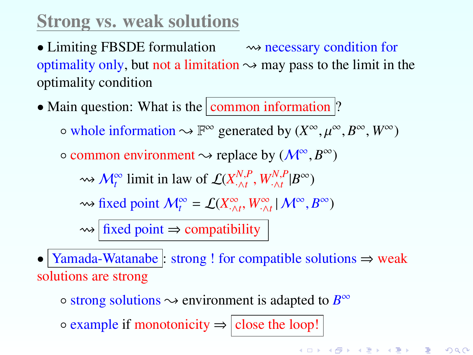• Limiting FBSDE formulation  $\longrightarrow$  necessary condition for optimality only, but not a limitation  $\sim$  may pass to the limit in the optimality condition

• Main question: What is the common information  $\vert$ ?

 $\circ$  whole information  $\leadsto \mathbb{F}^{\infty}$  generated by  $(X^{\infty}, \mu^{\infty}, B^{\infty}, W^{\infty})$ 

 $\circ$  common environment  $\rightsquigarrow$  replace by  $(M^{\infty}, B^{\infty})$ 

 $\rightsquigarrow$  *M*<sup>°</sup><sub>*t*</sub></sub> limit in law of  $\mathcal{L}(X^{N,P}_{\cdot \wedge t}, W^{N,P}_{\cdot \wedge t} | B^{\infty})$ 

 $\rightsquigarrow$  fixed point  $M_t^{\infty} = \mathcal{L}(X_{\cdot \wedge t}^{\infty}, W_{\cdot \wedge t}^{\infty} | M^{\infty}, B^{\infty})$ 

 $\rightsquigarrow$  fixed point  $\Rightarrow$  compatibility

• Yamada-Watanabe : strong ! for compatible solutions  $\Rightarrow$  weak solutions are strong

 $\circ$  strong solutions  $\sim$  environment is adapted to  $B^{\infty}$ 

 $\circ$  example if monotonicity  $\Rightarrow$  close the loop!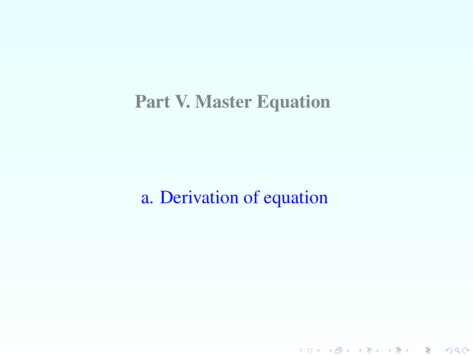#### Part V. Master Equation

a. Derivation of equation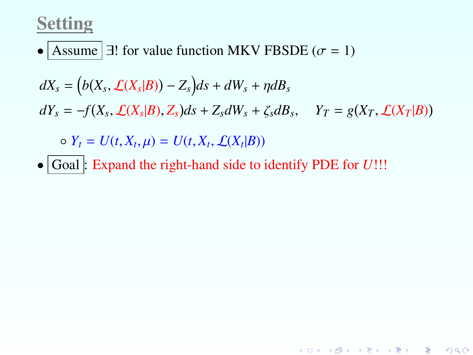#### Setting

• Assume  $\exists$ ! for value function MKV FBSDE ( $\sigma = 1$ )

$$
dX_s = (b(X_s, \mathcal{L}(X_s|B)) - Z_s)ds + dW_s + \eta dB_s
$$
  
\n
$$
dY_s = -f(X_s, \mathcal{L}(X_s|B), Z_s)ds + Z_s dW_s + \zeta_s dB_s, \quad Y_T = g(X_T, \mathcal{L}(X_T|B))
$$
  
\n
$$
\circ Y_t = U(t, X_t, \mu) = U(t, X_t, \mathcal{L}(X_t|B))
$$

• Goal : Expand the right-hand side to identify PDE for *U*!!!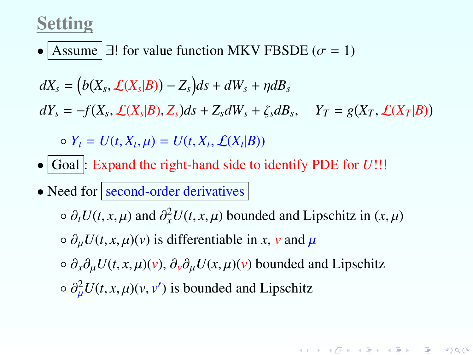#### Setting

• Assume  $\exists$ ! for value function MKV FBSDE ( $\sigma = 1$ )

$$
dX_s = (b(X_s, \mathcal{L}(X_s|B)) - Z_s)ds + dW_s + \eta dB_s
$$

 $dY_s = -f(X_s, \mathcal{L}(X_s|B), Z_s)ds + Z_s dW_s + \zeta_s dB_s, \quad Y_T = g(X_T, \mathcal{L}(X_T|B))$ 

 $V_t = U(t, X_t, \mu) = U(t, X_t, \mathcal{L}(X_t | B))$ 

- Goal : Expand the right-hand side to identify PDE for *U*!!!
- Need for  $\sqrt{\frac{second-order}{derivatives}}$

 $\circ$  ∂*tU*(*t*, *x*, *μ*) and ∂<sup>2</sup><sub>*x</sub></sub>U(<i>t*, *x*, *μ*) bounded and Lipschitz in (*x*, *μ*)</sub>

 $\circ$   $\partial_{\mu}U(t, x, \mu)(v)$  is differentiable in *x*, *v* and  $\mu$ 

◦ <sup>∂</sup>*x*∂µ*U*(*t*, *<sup>x</sup>*, µ)(*v*), <sup>∂</sup>*v*∂µ*U*(*x*, µ)(*v*) bounded and Lipschitz

K ロ ▶ K @ ▶ K 할 ▶ K 할 ▶ 이 할 → 900

 $\partial_{\mu}^{2}U(t, x, \mu)(v, v')$  is bounded and Lipschitz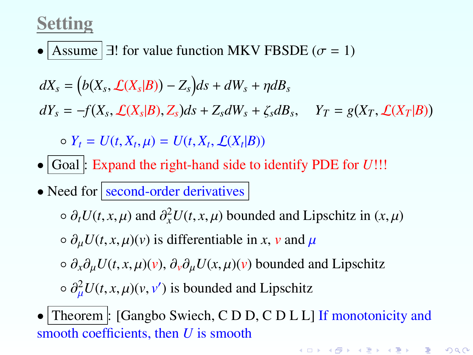## Setting

• Assume  $\exists$ ! for value function MKV FBSDE ( $\sigma = 1$ )

$$
dX_s = (b(X_s, \mathcal{L}(X_s|B)) - Z_s)ds + dW_s + \eta dB_s
$$

 $dY_s = -f(X_s, \mathcal{L}(X_s|B), Z_s)ds + Z_s dW_s + \zeta_s dB_s, \quad Y_T = g(X_T, \mathcal{L}(X_T|B))$ 

 $V_t = U(t, X_t, \mu) = U(t, X_t, \mathcal{L}(X_t | B))$ 

- Goal : Expand the right-hand side to identify PDE for *U*!!!
- Need for  $\sqrt{\frac{second-order}{derivatives}}$

 $\circ$  ∂*tU*(*t*, *x*, *μ*) and ∂<sup>2</sup><sub>*x</sub></sub>U(<i>t*, *x*, *μ*) bounded and Lipschitz in (*x*, *μ*)</sub>

 $\circ$   $\partial_{\mu}U(t, x, \mu)(v)$  is differentiable in *x*, *v* and  $\mu$ 

◦ <sup>∂</sup>*x*∂µ*U*(*t*, *<sup>x</sup>*, µ)(*v*), <sup>∂</sup>*v*∂µ*U*(*x*, µ)(*v*) bounded and Lipschitz

 $\circ \frac{\partial^2 \mu U(t, x, \mu)(v, v')}{\partial \mu}$  is bounded and Lipschitz

<span id="page-116-0"></span>• Theorem : [Gangbo Swiech, C D D, C D L L] If monotonicity and smooth coefficients, then *U* is smooth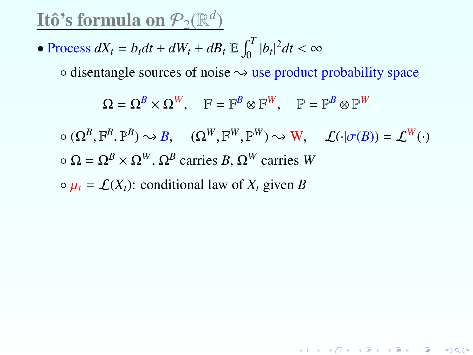<u>Itô's formula on  $\mathcal{P}_2(\mathbb{R}^d)$ </u>

• Process 
$$
dX_t = b_t dt + dW_t + dB_t \mathbb{E} \int_0^T |b_t|^2 dt < \infty
$$

 $\circ$  disentangle sources of noise  $\rightsquigarrow$  use product probability space

$$
\Omega = \Omega^B \times \Omega^W, \quad \mathbb{F} = \mathbb{F}^B \otimes \mathbb{F}^W, \quad \mathbb{P} = \mathbb{P}^B \otimes \mathbb{P}^W
$$

$$
\circ (\Omega^B, \mathbb{F}^B, \mathbb{P}^B) \rightsquigarrow B, \quad (\Omega^W, \mathbb{F}^W, \mathbb{P}^W) \rightsquigarrow W, \quad \mathcal{L}(\cdot | \sigma(B)) = \mathcal{L}^W(\cdot)
$$
  

$$
\circ \Omega = \Omega^B \times \Omega^W, \Omega^B \text{ carries } B, \Omega^W \text{ carries } W
$$

K ロ ▶ K @ ▶ K 할 ▶ K 할 ▶ ① 할 → ① 익단

<span id="page-117-0"></span> $\varphi$   $\mu_t = \mathcal{L}(X_t)$ : conditional law of  $X_t$  given *B*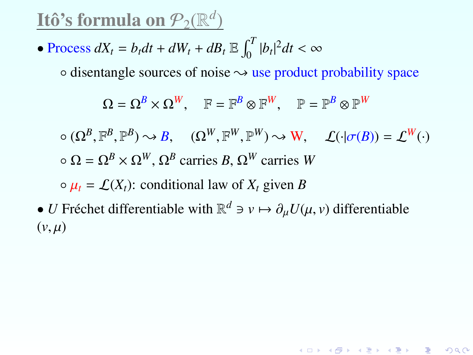<u>Itô's formula on  $\mathcal{P}_2(\mathbb{R}^d)$ </u>

• Process 
$$
dX_t = b_t dt + dW_t + dB_t \mathbb{E} \int_0^T |b_t|^2 dt < \infty
$$

 $\circ$  disentangle sources of noise  $\leadsto$  use product probability space

$$
\Omega = \Omega^B \times \Omega^W, \quad \mathbb{F} = \mathbb{F}^B \otimes \mathbb{F}^W, \quad \mathbb{P} = \mathbb{P}^B \otimes \mathbb{P}^W
$$

$$
\circ (\Omega^B, \mathbb{F}^B, \mathbb{P}^B) \leadsto B, \quad (\Omega^W, \mathbb{F}^W, \mathbb{P}^W) \leadsto W, \quad \mathcal{L}(\cdot | \sigma(B)) = \mathcal{L}^W(\cdot)
$$
  

$$
\circ \Omega = \Omega^B \times \Omega^W, \Omega^B \text{ carries } B, \Omega^W \text{ carries } W
$$

K ロ ▶ K @ ▶ K 할 ▶ K 할 ▶ 이 할 → 900

 $\varphi$   $\mu_t = \mathcal{L}(X_t)$ : conditional law of  $X_t$  given *B* 

<span id="page-118-0"></span>• *U* Fréchet differentiable with  $\mathbb{R}^d \ni v \mapsto \partial_\mu U(\mu, v)$  differentiable  $(v, u)$  $(v, \mu)$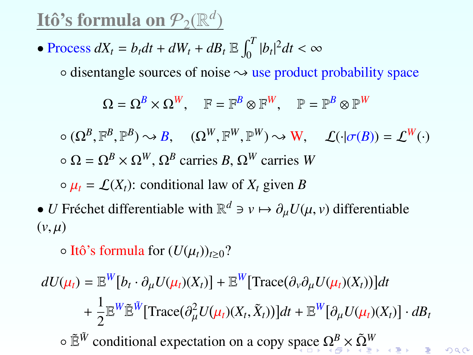<u>Itô's formula on  $\mathcal{P}_2(\mathbb{R}^d)$ </u>

• Process 
$$
dX_t = b_t dt + dW_t + dB_t \mathbb{E} \int_0^T |b_t|^2 dt < \infty
$$

 $\circ$  disentangle sources of noise  $\rightsquigarrow$  use product probability space

$$
\Omega = \Omega^B \times \Omega^W, \quad \mathbb{F} = \mathbb{F}^B \otimes \mathbb{F}^W, \quad \mathbb{P} = \mathbb{P}^B \otimes \mathbb{P}^W
$$

$$
\circ (\Omega^B, \mathbb{F}^B, \mathbb{P}^B) \rightsquigarrow B, \quad (\Omega^W, \mathbb{F}^W, \mathbb{P}^W) \rightsquigarrow W, \quad \mathcal{L}(\cdot | \sigma(B)) = \mathcal{L}^W(\cdot)
$$
  

$$
\circ \Omega = \Omega^B \times \Omega^W, \Omega^B \text{ carries } B, \Omega^W \text{ carries } W
$$

 $\varphi$   $\mu_t = \mathcal{L}(X_t)$ : conditional law of  $X_t$  given *B* 

• *U* Fréchet differentiable with  $\mathbb{R}^d \ni v \mapsto \partial_\mu U(\mu, v)$  differentiable  $(v, u)$  $(v, \mu)$ 

 $\circ$  Itô's formula for  $(U(\mu_t))_{t>0}$ ?

<span id="page-119-0"></span>
$$
dU(\mu_t) = \mathbb{E}^W[b_t \cdot \partial_\mu U(\mu_t)(X_t)] + \mathbb{E}^W[\text{Trace}(\partial_\nu \partial_\mu U(\mu_t)(X_t))]dt
$$
  
+  $\frac{1}{2} \mathbb{E}^W \tilde{\mathbb{E}}^W[\text{Trace}(\partial_\mu^2 U(\mu_t)(X_t, \tilde{X}_t))]dt + \mathbb{E}^W[\partial_\mu U(\mu_t)(X_t)] \cdot dB_t$   
•  $\tilde{\mathbb{E}}^W$  conditional expectation on a copy space  $\Omega^B_{\text{max}} \times \tilde{\Omega}^W$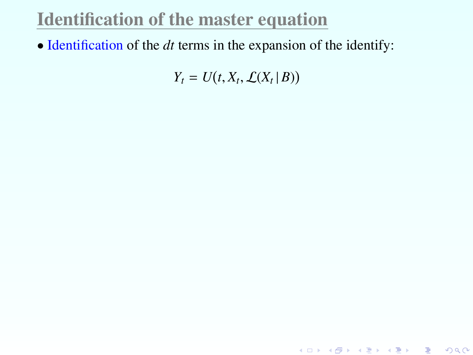### Identification of the master equation

• Identification of the *dt* terms in the expansion of the identify:

 $Y_t = U(t, X_t, \mathcal{L}(X_t | B))$ 

<span id="page-120-0"></span>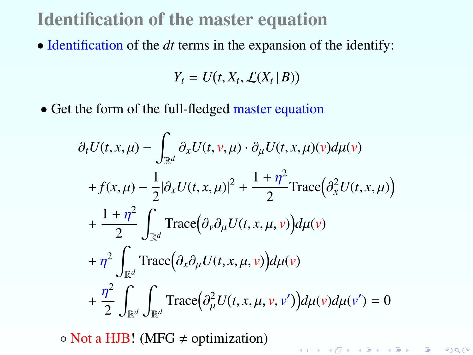#### Identification of the master equation

• Identification of the *dt* terms in the expansion of the identify:

$$
Y_t = U(t, X_t, \mathcal{L}(X_t | B))
$$

• Get the form of the full-fledged master equation

$$
\partial_t U(t, x, \mu) - \int_{\mathbb{R}^d} \partial_x U(t, v, \mu) \cdot \partial_\mu U(t, x, \mu)(v) d\mu(v)
$$
  
+  $f(x, \mu) - \frac{1}{2} |\partial_x U(t, x, \mu)|^2 + \frac{1 + \eta^2}{2} \text{Trace}(\partial_x^2 U(t, x, \mu))$   
+  $\frac{1 + \eta^2}{2} \int_{\mathbb{R}^d} \text{Trace}(\partial_v \partial_\mu U(t, x, \mu, v)) d\mu(v)$   
+  $\eta^2 \int_{\mathbb{R}^d} \text{Trace}(\partial_x \partial_\mu U(t, x, \mu, v)) d\mu(v)$   
+  $\frac{\eta^2}{2} \int_{\mathbb{R}^d} \int_{\mathbb{R}^d} \text{Trace}(\partial_\mu^2 U(t, x, \mu, v, v')) d\mu(v) d\mu(v') = 0$ 

K ロ ▶ K @ ▶ K 할 ▶ K 할 ▶ → 할 → 9 Q @

 $\circ$  Not a HJB! (MFG  $\neq$  optimization)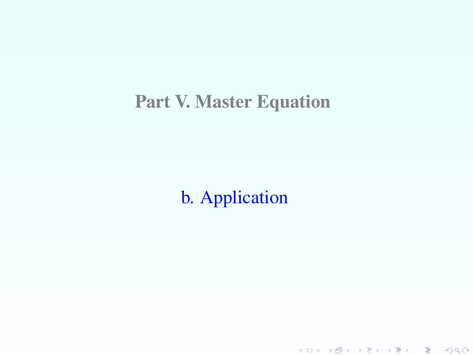#### Part V. Master Equation

b. Application

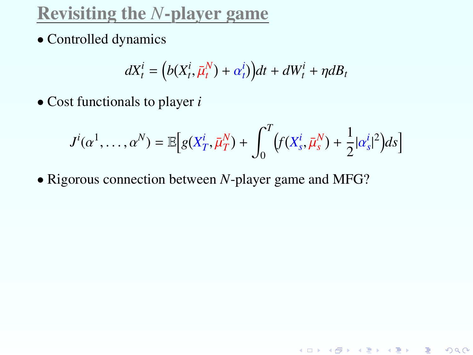• Controlled dynamics

$$
dX_t^i = (b(X_t^i, \bar{\mu}_t^N) + \alpha_t^i)dt + dW_t^i + \eta dB_t
$$

• Cost functionals to player *i*

$$
J^{i}(\alpha^{1},\ldots,\alpha^{N}) = \mathbb{E}\Big[g(X_{T}^{i},\bar{\mu}_{T}^{N}) + \int_{0}^{T} \Big(f(X_{s}^{i},\bar{\mu}_{s}^{N}) + \frac{1}{2}|\alpha_{s}^{i}|^{2}\Big)ds\Big]
$$

K ロ ▶ K @ ▶ K 할 ▶ K 할 ▶ 이 할 → 900

• Rigorous connection between *N*-player game and MFG?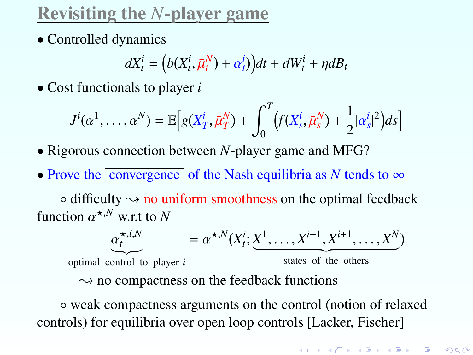• Controlled dynamics

$$
dX_t^i = (b(X_t^i, \bar{\mu}_t^N) + \alpha_t^i)dt + dW_t^i + \eta dB_t
$$

• Cost functionals to player *i*

$$
J^{i}(\alpha^{1},\ldots,\alpha^{N}) = \mathbb{E}\Big[g(X_{T}^{i},\bar{\mu}_{T}^{N}) + \int_{0}^{T} \Big(f(X_{s}^{i},\bar{\mu}_{s}^{N}) + \frac{1}{2}|\alpha_{s}^{i}|^{2}\Big)ds\Big]
$$

- Rigorous connection between *N*-player game and MFG?
- Prove the  $\boxed{\text{convergence}}$  of the Nash equilibria as *N* tends to  $\infty$

 $\circ$  difficulty  $\sim$  no uniform smoothness on the optimal feedback function  $\alpha^{\star,N}$  w.r.t to *N* 

$$
\underbrace{\alpha_t^{\star,i,N}}_{\text{optimal control to player } i} = \alpha^{\star,N}(X_t^i; \underbrace{X^1, \dots, X^{i-1}, X^{i+1}, \dots, X^N}_{\text{states of the others}})
$$

◦ weak compactness arguments on the control (notion of relaxed controls) for equilibria over open loop controls [Lacker, Fischer]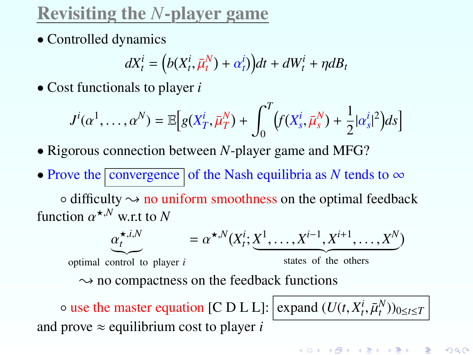• Controlled dynamics

$$
dX_t^i = (b(X_t^i, \bar{\mu}_t^N) + \alpha_t^i)dt + dW_t^i + \eta dB_t
$$

• Cost functionals to player *i*

$$
J^{i}(\alpha^{1},\ldots,\alpha^{N}) = \mathbb{E}\Big[g(X_{T}^{i},\bar{\mu}_{T}^{N}) + \int_{0}^{T} \Big(f(X_{s}^{i},\bar{\mu}_{s}^{N}) + \frac{1}{2}|\alpha_{s}^{i}|^{2}\Big)ds\Big]
$$

- Rigorous connection between *N*-player game and MFG?
- Prove the  $\boxed{\text{convergence}}$  of the Nash equilibria as *N* tends to  $\infty$

 $\circ$  difficulty  $\sim$  no uniform smoothness on the optimal feedback function  $\alpha^{\star,N}$  w.r.t to *N* 

$$
\underbrace{\alpha_t^{\star,i,N}}_{\text{optimal control to player } i} = \alpha^{\star,N}(X_i^i; \underbrace{X^1, \dots, X^{i-1}, X^{i+1}, \dots, X^N}_{\text{states of the others}})
$$
\n
$$
\Rightarrow \text{no compactness on the feedback functions}
$$
\n
$$
\circ \text{use the master equation [C D L L]: } \underbrace{\text{expand } (U(t, X_t^i, \bar{\mu}_t^N))_{0 \le t \le T}}_{\text{and prove } \approx \text{equilibrium cost to player } i}
$$

K ロ K K @ K K R K X R K ( B K ) R  $299$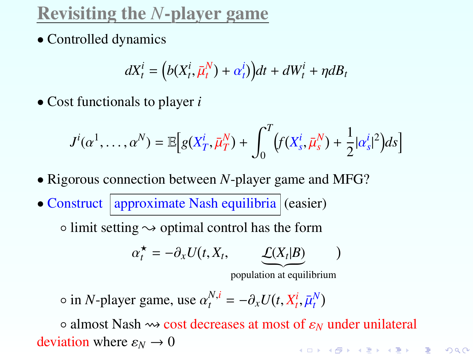• Controlled dynamics

$$
dX_t^i = (b(X_t^i, \bar{\mu}_t^N) + \alpha_t^i)dt + dW_t^i + \eta dB_t
$$

• Cost functionals to player *i*

$$
J^{i}(\alpha^{1},\ldots,\alpha^{N}) = \mathbb{E}\Big[g(X_{T}^{i},\bar{\mu}_{T}^{N}) + \int_{0}^{T} \Big(f(X_{s}^{i},\bar{\mu}_{s}^{N}) + \frac{1}{2}|\alpha_{s}^{i}|^{2}\Big)ds\Big]
$$

- Rigorous connection between *N*-player game and MFG?
- $\bullet$  Construct | approximate Nash equilibria  $|$  (easier)

 $\circ$  limit setting  $\rightsquigarrow$  optimal control has the form

$$
\alpha_t^{\star} = -\partial_x U(t, X_t, \qquad \underbrace{\underline{\mathcal{L}}(X_t|B)} \qquad)
$$

population at equilibrium

 $\circ$  in *N*-player game, use  $\alpha_t^{N,i} = -\partial_x U(t, X_t^i, \bar{\mu}_t^N)$ 

◦ almost Nash cost decreases at most of <sup>ε</sup>*<sup>N</sup>* under unilateral deviation where  $\varepsilon_N \to 0$